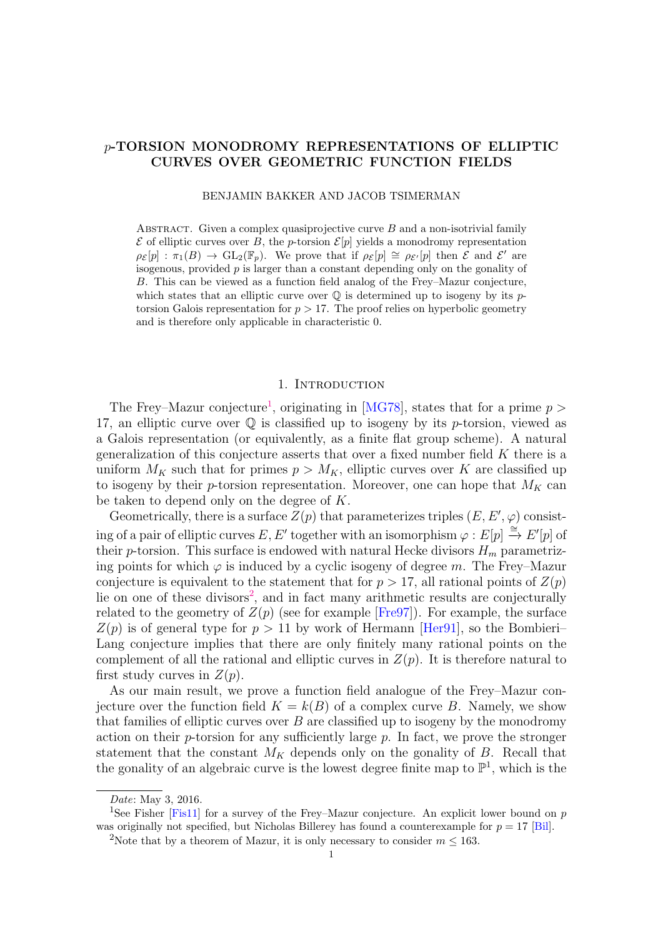# p-TORSION MONODROMY REPRESENTATIONS OF ELLIPTIC CURVES OVER GEOMETRIC FUNCTION FIELDS

BENJAMIN BAKKER AND JACOB TSIMERMAN

ABSTRACT. Given a complex quasiprojective curve  $B$  and a non-isotrivial family  $\mathcal E$  of elliptic curves over B, the p-torsion  $\mathcal E[p]$  yields a monodromy representation  $\rho_{\mathcal{E}}[p] : \pi_1(B) \to \mathrm{GL}_2(\mathbb{F}_p)$ . We prove that if  $\rho_{\mathcal{E}}[p] \cong \rho_{\mathcal{E}'}[p]$  then  $\mathcal{E}$  and  $\mathcal{E}'$  are isogenous, provided p is larger than a constant depending only on the gonality of B. This can be viewed as a function field analog of the Frey–Mazur conjecture, which states that an elliptic curve over  $\mathbb Q$  is determined up to isogeny by its ptorsion Galois representation for  $p > 17$ . The proof relies on hyperbolic geometry and is therefore only applicable in characteristic 0.

#### 1. INTRODUCTION

The Frey–Mazur conjecture<sup>[1](#page-0-0)</sup>, originating in [\[MG78\]](#page-30-0), states that for a prime  $p >$ 17, an elliptic curve over  $\mathbb Q$  is classified up to isogeny by its p-torsion, viewed as a Galois representation (or equivalently, as a finite flat group scheme). A natural generalization of this conjecture asserts that over a fixed number field  $K$  there is a uniform  $M_K$  such that for primes  $p > M_K$ , elliptic curves over K are classified up to isogeny by their p-torsion representation. Moreover, one can hope that  $M_K$  can be taken to depend only on the degree of K.

Geometrically, there is a surface  $Z(p)$  that parameterizes triples  $(E, E', \varphi)$  consisting of a pair of elliptic curves E, E' together with an isomorphism  $\varphi : E[p] \stackrel{\cong}{\to} E'[p]$  of their p-torsion. This surface is endowed with natural Hecke divisors  $H_m$  parametrizing points for which  $\varphi$  is induced by a cyclic isogeny of degree m. The Frey–Mazur conjecture is equivalent to the statement that for  $p > 17$ , all rational points of  $Z(p)$ lie on one of these divisors<sup>[2](#page-0-1)</sup>, and in fact many arithmetic results are conjecturally related to the geometry of  $Z(p)$  (see for example [\[Fre97\]](#page-30-1)). For example, the surface  $Z(p)$  is of general type for  $p > 11$  by work of Hermann [Herg1], so the Bombieri-Lang conjecture implies that there are only finitely many rational points on the complement of all the rational and elliptic curves in  $Z(p)$ . It is therefore natural to first study curves in  $Z(p)$ .

As our main result, we prove a function field analogue of the Frey–Mazur conjecture over the function field  $K = k(B)$  of a complex curve B. Namely, we show that families of elliptic curves over  $B$  are classified up to isogeny by the monodromy action on their  $p$ -torsion for any sufficiently large  $p$ . In fact, we prove the stronger statement that the constant  $M_K$  depends only on the gonality of  $B$ . Recall that the gonality of an algebraic curve is the lowest degree finite map to  $\mathbb{P}^1$ , which is the

<span id="page-0-0"></span>Date: May 3, 2016.

<sup>&</sup>lt;sup>1</sup>See Fisher [\[Fis11\]](#page-30-3) for a survey of the Frey–Mazur conjecture. An explicit lower bound on p was originally not specified, but Nicholas Billerey has found a counterexample for  $p = 17$  [\[Bil\]](#page-29-0).

<span id="page-0-1"></span><sup>&</sup>lt;sup>2</sup>Note that by a theorem of Mazur, it is only necessary to consider  $m \leq 163$ .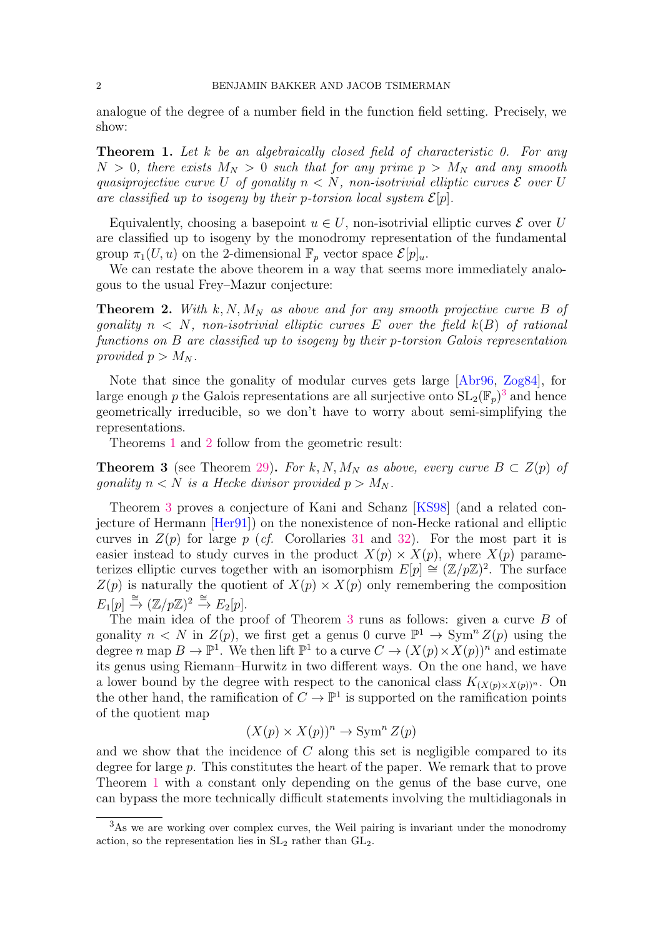analogue of the degree of a number field in the function field setting. Precisely, we show:

<span id="page-1-1"></span>**Theorem 1.** Let k be an algebraically closed field of characteristic 0. For any  $N > 0$ , there exists  $M_N > 0$  such that for any prime  $p > M_N$  and any smooth quasiprojective curve U of gonality  $n < N$ , non-isotrivial elliptic curves  $\mathcal E$  over U are classified up to isogeny by their p-torsion local system  $\mathcal{E}[p]$ .

Equivalently, choosing a basepoint  $u \in U$ , non-isotrivial elliptic curves  $\mathcal E$  over U are classified up to isogeny by the monodromy representation of the fundamental group  $\pi_1(U, u)$  on the 2-dimensional  $\mathbb{F}_p$  vector space  $\mathcal{E}[p]_u$ .

We can restate the above theorem in a way that seems more immediately analogous to the usual Frey–Mazur conjecture:

<span id="page-1-2"></span>**Theorem 2.** With  $k, N, M_N$  as above and for any smooth projective curve B of gonality  $n \leq N$ , non-isotrivial elliptic curves E over the field  $k(B)$  of rational functions on B are classified up to isogeny by their p-torsion Galois representation provided  $p > M_N$ .

Note that since the gonality of modular curves gets large [\[Abr96,](#page-29-1) [Zog84\]](#page-30-4), for large enough p the Galois representations are all surjective onto  $SL_2(\mathbb{F}_p)^3$  $SL_2(\mathbb{F}_p)^3$  and hence geometrically irreducible, so we don't have to worry about semi-simplifying the representations.

Theorems [1](#page-1-1) and [2](#page-1-2) follow from the geometric result:

<span id="page-1-3"></span>**Theorem 3** (see Theorem [29\)](#page-28-0). For k, N, M<sub>N</sub> as above, every curve  $B \subset Z(p)$  of gonality  $n < N$  is a Hecke divisor provided  $p > M_N$ .

Theorem [3](#page-1-3) proves a conjecture of Kani and Schanz [\[KS98\]](#page-30-5) (and a related conjecture of Hermann [\[Her91\]](#page-30-2)) on the nonexistence of non-Hecke rational and elliptic curves in  $Z(p)$  for large p (cf. Corollaries [31](#page-29-2) and [32\)](#page-29-3). For the most part it is easier instead to study curves in the product  $X(p) \times X(p)$ , where  $X(p)$  parameterizes elliptic curves together with an isomorphism  $E[p] \cong (\mathbb{Z}/p\mathbb{Z})^2$ . The surface  $Z(p)$  is naturally the quotient of  $X(p) \times X(p)$  only remembering the composition  $E_1[p] \stackrel{\cong}{\to} (\mathbb{Z}/p\mathbb{Z})^2 \stackrel{\cong}{\to} E_2[p].$ 

The main idea of the proof of Theorem [3](#page-1-3) runs as follows: given a curve B of gonality  $n < N$  in  $Z(p)$ , we first get a genus 0 curve  $\mathbb{P}^1 \to \text{Sym}^n Z(p)$  using the degree n map  $B \to \mathbb{P}^1$ . We then lift  $\mathbb{P}^1$  to a curve  $C \to (X(p) \times X(p))^n$  and estimate its genus using Riemann–Hurwitz in two different ways. On the one hand, we have a lower bound by the degree with respect to the canonical class  $K_{(X(p)\times X(p))^n}$ . On the other hand, the ramification of  $C \to \mathbb{P}^1$  is supported on the ramification points of the quotient map

$$
(X(p) \times X(p))^n \to \operatorname{Sym}^n Z(p)
$$

and we show that the incidence of  $C$  along this set is negligible compared to its degree for large p. This constitutes the heart of the paper. We remark that to prove Theorem [1](#page-1-1) with a constant only depending on the genus of the base curve, one can bypass the more technically difficult statements involving the multidiagonals in

<span id="page-1-0"></span><sup>&</sup>lt;sup>3</sup>As we are working over complex curves, the Weil pairing is invariant under the monodromy action, so the representation lies in  $SL<sub>2</sub>$  rather than  $GL<sub>2</sub>$ .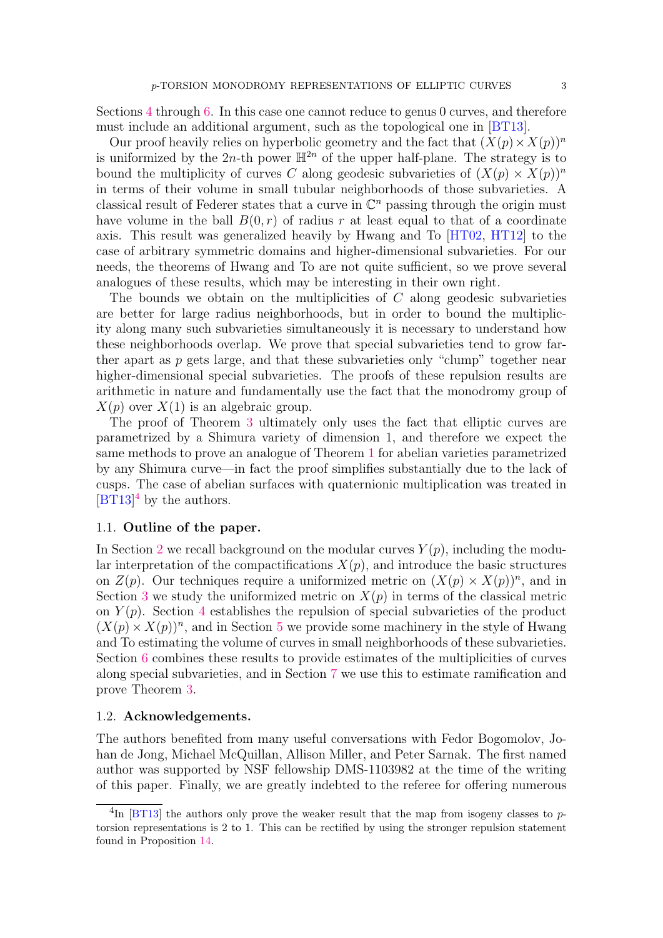Sections [4](#page-12-0) through [6.](#page-23-0) In this case one cannot reduce to genus 0 curves, and therefore must include an additional argument, such as the topological one in [\[BT13\]](#page-29-4).

Our proof heavily relies on hyperbolic geometry and the fact that  $(X(p) \times X(p))^n$ is uniformized by the 2n-th power  $\mathbb{H}^{2n}$  of the upper half-plane. The strategy is to bound the multiplicity of curves C along geodesic subvarieties of  $(X(p) \times X(p))^n$ in terms of their volume in small tubular neighborhoods of those subvarieties. A classical result of Federer states that a curve in  $\mathbb{C}^n$  passing through the origin must have volume in the ball  $B(0, r)$  of radius r at least equal to that of a coordinate axis. This result was generalized heavily by Hwang and To [\[HT02,](#page-30-6) [HT12\]](#page-30-7) to the case of arbitrary symmetric domains and higher-dimensional subvarieties. For our needs, the theorems of Hwang and To are not quite sufficient, so we prove several analogues of these results, which may be interesting in their own right.

The bounds we obtain on the multiplicities of C along geodesic subvarieties are better for large radius neighborhoods, but in order to bound the multiplicity along many such subvarieties simultaneously it is necessary to understand how these neighborhoods overlap. We prove that special subvarieties tend to grow farther apart as  $p$  gets large, and that these subvarieties only "clump" together near higher-dimensional special subvarieties. The proofs of these repulsion results are arithmetic in nature and fundamentally use the fact that the monodromy group of  $X(p)$  over  $X(1)$  is an algebraic group.

The proof of Theorem [3](#page-1-3) ultimately only uses the fact that elliptic curves are parametrized by a Shimura variety of dimension 1, and therefore we expect the same methods to prove an analogue of Theorem [1](#page-1-1) for abelian varieties parametrized by any Shimura curve—in fact the proof simplifies substantially due to the lack of cusps. The case of abelian surfaces with quaternionic multiplication was treated in  $[BT13]^4$  $[BT13]^4$  $[BT13]^4$  by the authors.

#### 1.1. Outline of the paper.

In Section [2](#page-4-0) we recall background on the modular curves  $Y(p)$ , including the modular interpretation of the compactifications  $X(p)$ , and introduce the basic structures on  $Z(p)$ . Our techniques require a uniformized metric on  $(X(p) \times X(p))^n$ , and in Section [3](#page-7-0) we study the uniformized metric on  $X(p)$  in terms of the classical metric on  $Y(p)$ . Section [4](#page-12-0) establishes the repulsion of special subvarieties of the product  $(X(p) \times X(p))^n$ , and in Section [5](#page-19-0) we provide some machinery in the style of Hwang and To estimating the volume of curves in small neighborhoods of these subvarieties. Section [6](#page-23-0) combines these results to provide estimates of the multiplicities of curves along special subvarieties, and in Section [7](#page-27-0) we use this to estimate ramification and prove Theorem [3.](#page-1-3)

#### 1.2. Acknowledgements.

The authors benefited from many useful conversations with Fedor Bogomolov, Johan de Jong, Michael McQuillan, Allison Miller, and Peter Sarnak. The first named author was supported by NSF fellowship DMS-1103982 at the time of the writing of this paper. Finally, we are greatly indebted to the referee for offering numerous

<span id="page-2-0"></span> ${}^{4}\text{In}$  [\[BT13\]](#page-29-4) the authors only prove the weaker result that the map from isogeny classes to ptorsion representations is 2 to 1. This can be rectified by using the stronger repulsion statement found in Proposition [14.](#page-14-0)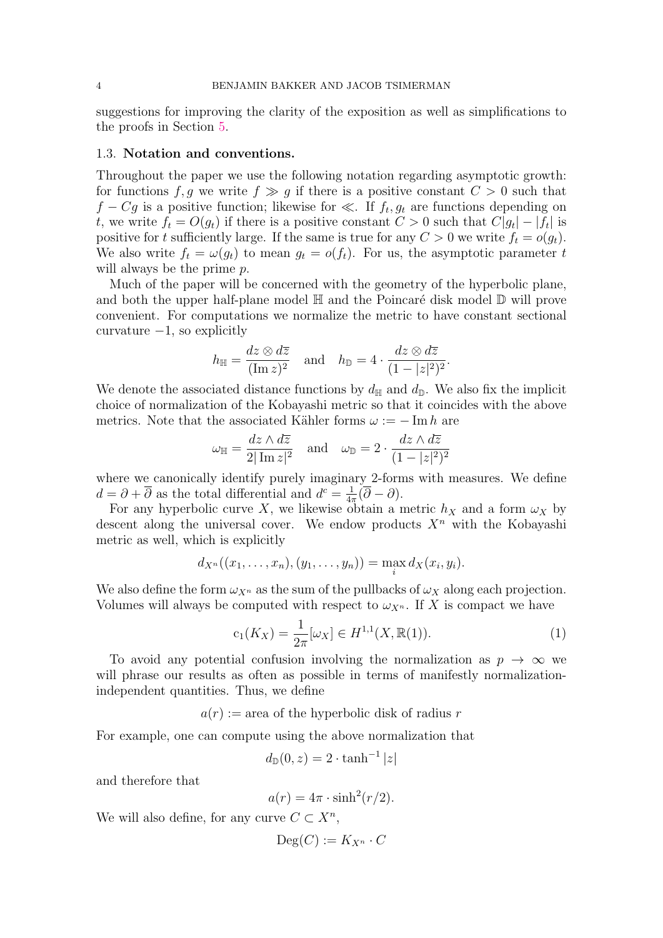suggestions for improving the clarity of the exposition as well as simplifications to the proofs in Section [5.](#page-19-0)

# 1.3. Notation and conventions.

Throughout the paper we use the following notation regarding asymptotic growth: for functions f, g we write  $f \gg g$  if there is a positive constant  $C > 0$  such that  $f - Cg$  is a positive function; likewise for  $\ll$ . If  $f_t, g_t$  are functions depending on t, we write  $f_t = O(g_t)$  if there is a positive constant  $C > 0$  such that  $C|g_t| - |f_t|$  is positive for t sufficiently large. If the same is true for any  $C > 0$  we write  $f_t = o(g_t)$ . We also write  $f_t = \omega(g_t)$  to mean  $g_t = o(f_t)$ . For us, the asymptotic parameter t will always be the prime  $p$ .

Much of the paper will be concerned with the geometry of the hyperbolic plane, and both the upper half-plane model  $\mathbb H$  and the Poincaré disk model  $\mathbb D$  will prove convenient. For computations we normalize the metric to have constant sectional curvature  $-1$ , so explicitly

$$
h_{\mathbb{H}} = \frac{dz \otimes d\overline{z}}{(\operatorname{Im} z)^2} \quad \text{and} \quad h_{\mathbb{D}} = 4 \cdot \frac{dz \otimes d\overline{z}}{(1 - |z|^2)^2}.
$$

We denote the associated distance functions by  $d_{\mathbb{H}}$  and  $d_{\mathbb{D}}$ . We also fix the implicit choice of normalization of the Kobayashi metric so that it coincides with the above metrics. Note that the associated Kähler forms  $\omega := -\operatorname{Im} h$  are

$$
\omega_{\mathbb{H}} = \frac{dz \wedge d\overline{z}}{2|\operatorname{Im} z|^2} \quad \text{and} \quad \omega_{\mathbb{D}} = 2 \cdot \frac{dz \wedge d\overline{z}}{(1 - |z|^2)^2}
$$

where we canonically identify purely imaginary 2-forms with measures. We define  $d = \partial + \overline{\partial}$  as the total differential and  $d^c = \frac{1}{4\pi}$  $\frac{1}{4\pi}(\partial - \partial).$ 

For any hyperbolic curve X, we likewise obtain a metric  $h_X$  and a form  $\omega_X$  by descent along the universal cover. We endow products  $X<sup>n</sup>$  with the Kobayashi metric as well, which is explicitly

$$
d_{X^n}((x_1,\ldots,x_n),(y_1,\ldots,y_n))=\max_i d_X(x_i,y_i).
$$

We also define the form  $\omega_{X^n}$  as the sum of the pullbacks of  $\omega_X$  along each projection. Volumes will always be computed with respect to  $\omega_{X^n}$ . If X is compact we have

$$
c_1(K_X) = \frac{1}{2\pi} [\omega_X] \in H^{1,1}(X, \mathbb{R}(1)).
$$
\n(1)

To avoid any potential confusion involving the normalization as  $p \to \infty$  we will phrase our results as often as possible in terms of manifestly normalizationindependent quantities. Thus, we define

 $a(r) := \text{area of the hyperbolic disk of radius } r$ 

For example, one can compute using the above normalization that

$$
d_{\mathbb{D}}(0,z) = 2 \cdot \tanh^{-1}|z|
$$

and therefore that

$$
a(r) = 4\pi \cdot \sinh^2(r/2).
$$

We will also define, for any curve  $C \subset X^n$ ,

$$
\mathrm{Deg}(C):=K_{X^n}\cdot C
$$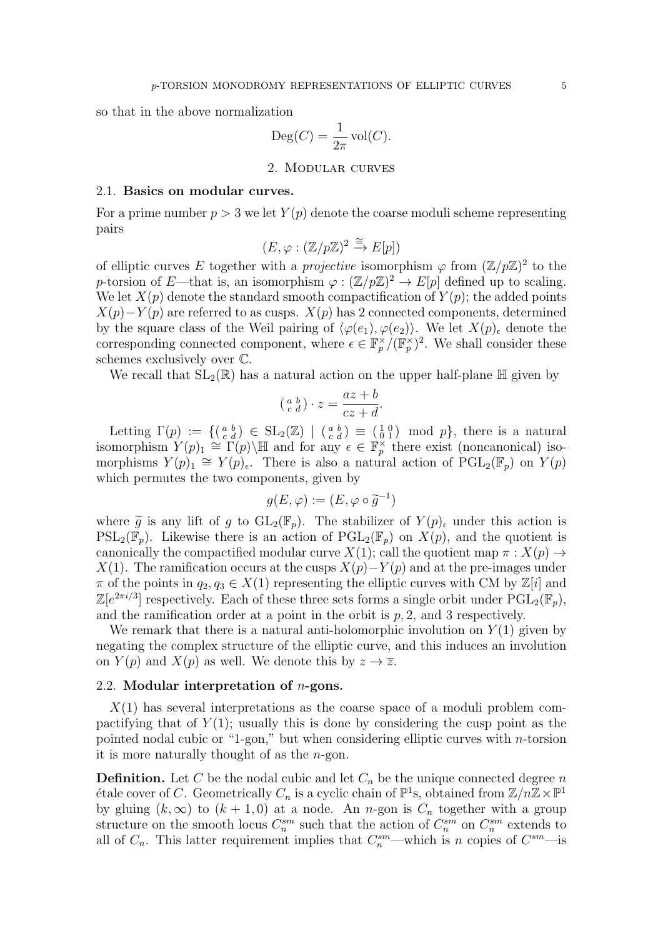so that in the above normalization

$$
\text{Deg}(C) = \frac{1}{2\pi} \text{vol}(C).
$$

2. Modular curves

### <span id="page-4-0"></span>2.1. Basics on modular curves.

For a prime number  $p > 3$  we let  $Y(p)$  denote the coarse moduli scheme representing pairs

$$
(E, \varphi : (\mathbb{Z}/p\mathbb{Z})^2 \xrightarrow{\cong} E[p])
$$

of elliptic curves E together with a *projective* isomorphism  $\varphi$  from  $(\mathbb{Z}/p\mathbb{Z})^2$  to the p-torsion of E—that is, an isomorphism  $\varphi : (\mathbb{Z}/p\mathbb{Z})^2 \to E[p]$  defined up to scaling. We let  $X(p)$  denote the standard smooth compactification of  $Y(p)$ ; the added points  $X(p)-Y(p)$  are referred to as cusps.  $X(p)$  has 2 connected components, determined by the square class of the Weil pairing of  $\langle \varphi(e_1), \varphi(e_2) \rangle$ . We let  $X(p)_{\epsilon}$  denote the corresponding connected component, where  $\epsilon \in \mathbb{F}_p^{\times}/(\mathbb{F}_p^{\times})^2$ . We shall consider these schemes exclusively over C.

We recall that  $SL_2(\mathbb{R})$  has a natural action on the upper half-plane  $\mathbb{H}$  given by

$$
\left(\begin{smallmatrix} a & b \\ c & d \end{smallmatrix}\right) \cdot z = \frac{az+b}{cz+d}.
$$

Letting  $\Gamma(p) := \{ (\begin{smallmatrix} a & b \\ c & d \end{smallmatrix}) \in SL_2(\mathbb{Z}) \mid (\begin{smallmatrix} a & b \\ c & d \end{smallmatrix}) \equiv (\begin{smallmatrix} 1 & 0 \\ 0 & 1 \end{smallmatrix}) \mod p \}$ , there is a natural isomorphism  $Y(p)_1 \cong \Gamma(p)$   $\downarrow \mathbb{H}$  and for any  $\epsilon \in \mathbb{F}_p^{\times}$  there exist (noncanonical) isomorphisms  $Y(p)_1 \cong Y(p)_{\epsilon}$ . There is also a natural action of  $PGL_2(\mathbb{F}_p)$  on  $Y(p)$ which permutes the two components, given by

$$
g(E,\varphi):=(E,\varphi\circ\widetilde{g}^{-1})
$$

where  $\tilde{g}$  is any lift of g to  $GL_2(\mathbb{F}_p)$ . The stabilizer of  $Y(p)_{\epsilon}$  under this action is  $PSL_2(\mathbb{F}_p)$ . Likewise there is an action of  $PGL_2(\mathbb{F}_p)$  on  $X(p)$ , and the quotient is canonically the compactified modular curve  $X(1)$ ; call the quotient map  $\pi : X(p) \to Y(p)$  $X(1)$ . The ramification occurs at the cusps  $X(p) - Y(p)$  and at the pre-images under  $\pi$  of the points in  $q_2, q_3 \in X(1)$  representing the elliptic curves with CM by  $\mathbb{Z}[i]$  and  $\mathbb{Z}[e^{2\pi i/3}]$  respectively. Each of these three sets forms a single orbit under  $\widehat{\mathrm{PGL}_2(\mathbb{F}_p)}$ , and the ramification order at a point in the orbit is  $p, 2$ , and 3 respectively.

We remark that there is a natural anti-holomorphic involution on  $Y(1)$  given by negating the complex structure of the elliptic curve, and this induces an involution on  $Y(p)$  and  $X(p)$  as well. We denote this by  $z \to \overline{z}$ .

### 2.2. Modular interpretation of n-gons.

 $X(1)$  has several interpretations as the coarse space of a moduli problem compactifying that of  $Y(1)$ ; usually this is done by considering the cusp point as the pointed nodal cubic or "1-gon," but when considering elliptic curves with n-torsion it is more naturally thought of as the  $n$ -gon.

**Definition.** Let C be the nodal cubic and let  $C_n$  be the unique connected degree n étale cover of C. Geometrically  $C_n$  is a cyclic chain of  $\mathbb{P}^1$ s, obtained from  $\mathbb{Z}/n\mathbb{Z}\times\mathbb{P}^1$ by gluing  $(k, \infty)$  to  $(k + 1, 0)$  at a node. An *n*-gon is  $C_n$  together with a group structure on the smooth locus  $C_n^{sm}$  such that the action of  $C_n^{sm}$  on  $C_n^{sm}$  extends to all of  $C_n$ . This latter requirement implies that  $C_n^{sm}$ —which is n copies of  $C_m^{sm}$ —is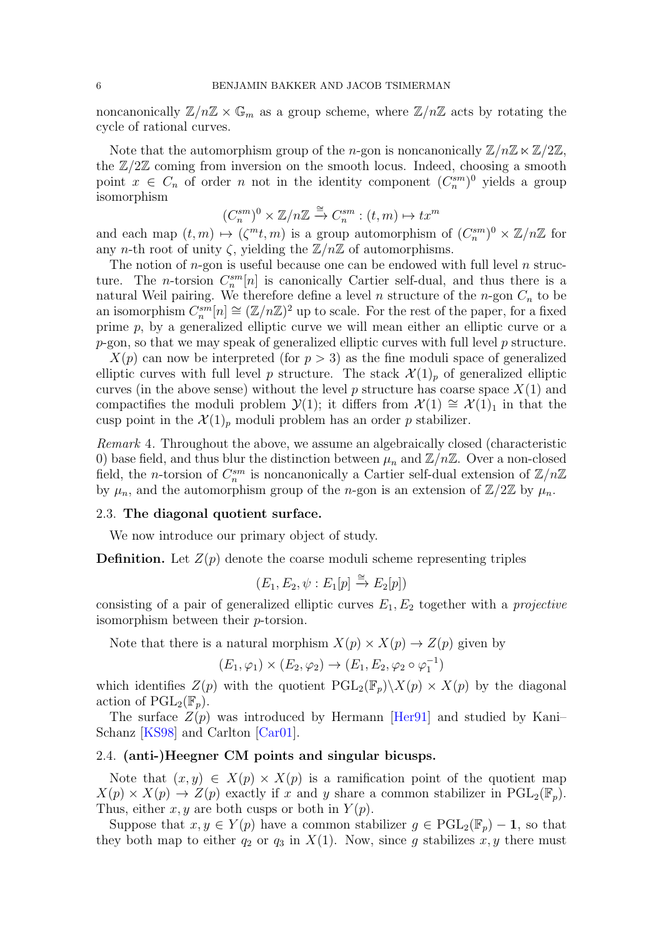noncanonically  $\mathbb{Z}/n\mathbb{Z} \times \mathbb{G}_m$  as a group scheme, where  $\mathbb{Z}/n\mathbb{Z}$  acts by rotating the cycle of rational curves.

Note that the automorphism group of the *n*-gon is noncanonically  $\mathbb{Z}/n\mathbb{Z} \ltimes \mathbb{Z}/2\mathbb{Z}$ , the  $\mathbb{Z}/2\mathbb{Z}$  coming from inversion on the smooth locus. Indeed, choosing a smooth point  $x \in C_n$  of order n not in the identity component  $(C_n^{\text{sm}})^0$  yields a group isomorphism

$$
(C_n^{sm})^0 \times \mathbb{Z}/n\mathbb{Z} \xrightarrow{\cong} C_n^{sm} : (t,m) \mapsto tx^m
$$

and each map  $(t, m) \mapsto (\zeta^m t, m)$  is a group automorphism of  $(C_n^{sm})^0 \times \mathbb{Z}/n\mathbb{Z}$  for any *n*-th root of unity  $\zeta$ , yielding the  $\mathbb{Z}/n\mathbb{Z}$  of automorphisms.

The notion of  $n$ -gon is useful because one can be endowed with full level  $n$  structure. The *n*-torsion  $C_n^{sm}[n]$  is canonically Cartier self-dual, and thus there is a natural Weil pairing. We therefore define a level  $n$  structure of the  $n$ -gon  $C_n$  to be an isomorphism  $C_n^{sm}[n] \cong (\mathbb{Z}/n\mathbb{Z})^2$  up to scale. For the rest of the paper, for a fixed prime p, by a generalized elliptic curve we will mean either an elliptic curve or a  $p$ -gon, so that we may speak of generalized elliptic curves with full level  $p$  structure.

 $X(p)$  can now be interpreted (for  $p > 3$ ) as the fine moduli space of generalized elliptic curves with full level p structure. The stack  $\mathcal{X}(1)_p$  of generalized elliptic curves (in the above sense) without the level p structure has coarse space  $X(1)$  and compactifies the moduli problem  $\mathcal{Y}(1)$ ; it differs from  $\mathcal{X}(1) \cong \mathcal{X}(1)_1$  in that the cusp point in the  $\mathcal{X}(1)_p$  moduli problem has an order p stabilizer.

Remark 4. Throughout the above, we assume an algebraically closed (characteristic 0) base field, and thus blur the distinction between  $\mu_n$  and  $\mathbb{Z}/n\mathbb{Z}$ . Over a non-closed field, the *n*-torsion of  $C_n^{sm}$  is noncanonically a Cartier self-dual extension of  $\mathbb{Z}/n\mathbb{Z}$ by  $\mu_n$ , and the automorphism group of the *n*-gon is an extension of  $\mathbb{Z}/2\mathbb{Z}$  by  $\mu_n$ .

#### 2.3. The diagonal quotient surface.

We now introduce our primary object of study.

**Definition.** Let  $Z(p)$  denote the coarse moduli scheme representing triples

$$
(E_1, E_2, \psi : E_1[p] \xrightarrow{\cong} E_2[p])
$$

consisting of a pair of generalized elliptic curves  $E_1, E_2$  together with a *projective* isomorphism between their p-torsion.

Note that there is a natural morphism  $X(p) \times X(p) \to Z(p)$  given by

$$
(E_1, \varphi_1) \times (E_2, \varphi_2) \to (E_1, E_2, \varphi_2 \circ \varphi_1^{-1})
$$

which identifies  $Z(p)$  with the quotient  $PGL_2(\mathbb{F}_p)\backslash X(p) \times X(p)$  by the diagonal action of  $\mathrm{PGL}_2(\mathbb{F}_p)$ .

The surface  $Z(p)$  was introduced by Hermann [Herg1] and studied by Kani– Schanz [\[KS98\]](#page-30-5) and Carlton [\[Car01\]](#page-30-8).

#### 2.4. (anti-)Heegner CM points and singular bicusps.

Note that  $(x, y) \in X(p) \times X(p)$  is a ramification point of the quotient map  $X(p) \times X(p) \to Z(p)$  exactly if x and y share a common stabilizer in  $PGL_2(\mathbb{F}_p)$ . Thus, either x, y are both cusps or both in  $Y(p)$ .

Suppose that  $x, y \in Y(p)$  have a common stabilizer  $g \in \text{PGL}_2(\mathbb{F}_p) - 1$ , so that they both map to either  $q_2$  or  $q_3$  in  $X(1)$ . Now, since g stabilizes x, y there must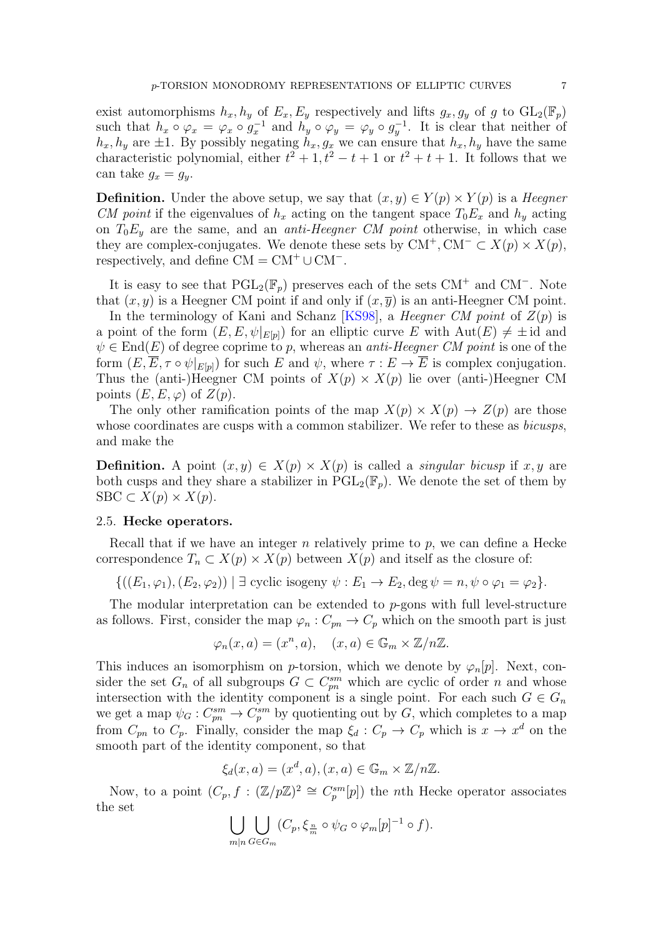exist automorphisms  $h_x, h_y$  of  $E_x, E_y$  respectively and lifts  $g_x, g_y$  of g to  $GL_2(\mathbb{F}_p)$ such that  $h_x \circ \varphi_x = \varphi_x \circ g_x^{-1}$  and  $h_y \circ \varphi_y = \varphi_y \circ g_y^{-1}$ . It is clear that neither of  $h_x, h_y$  are  $\pm 1$ . By possibly negating  $h_x, g_x$  we can ensure that  $h_x, h_y$  have the same characteristic polynomial, either  $t^2 + 1$ ,  $t^2 - t + 1$  or  $t^2 + t + 1$ . It follows that we can take  $g_x = g_y$ .

**Definition.** Under the above setup, we say that  $(x, y) \in Y(p) \times Y(p)$  is a *Heegner* CM point if the eigenvalues of  $h_x$  acting on the tangent space  $T_0E_x$  and  $h_y$  acting on  $T_0E_y$  are the same, and an *anti-Heegner CM point* otherwise, in which case they are complex-conjugates. We denote these sets by  $CM^+$ ,  $CM^- \subset X(p) \times X(p)$ , respectively, and define  $CM = CM^+ \cup CM^-$ .

It is easy to see that  $PGL_2(\mathbb{F}_p)$  preserves each of the sets CM<sup>+</sup> and CM<sup>-</sup>. Note that  $(x, y)$  is a Heegner CM point if and only if  $(x, \overline{y})$  is an anti-Heegner CM point.

In the terminology of Kani and Schanz [\[KS98\]](#page-30-5), a *Heegner CM point* of  $Z(p)$  is a point of the form  $(E, E, \psi|_{E[p]})$  for an elliptic curve E with  $Aut(E) \neq \pm id$  and  $\psi \in \text{End}(E)$  of degree coprime to p, whereas an *anti-Heegner CM point* is one of the form  $(E, \overline{E}, \tau \circ \psi|_{E[\nu]})$  for such E and  $\psi$ , where  $\tau : E \to \overline{E}$  is complex conjugation. Thus the (anti-)Heegner CM points of  $X(p) \times X(p)$  lie over (anti-)Heegner CM points  $(E, E, \varphi)$  of  $Z(p)$ .

The only other ramification points of the map  $X(p) \times X(p) \to Z(p)$  are those whose coordinates are cusps with a common stabilizer. We refer to these as *bicusps*, and make the

**Definition.** A point  $(x, y) \in X(p) \times X(p)$  is called a *singular bicusp* if x, y are both cusps and they share a stabilizer in  $PGL_2(\mathbb{F}_n)$ . We denote the set of them by  $SBC \subset X(p) \times X(p)$ .

### 2.5. Hecke operators.

Recall that if we have an integer n relatively prime to  $p$ , we can define a Hecke correspondence  $T_n \subset X(p) \times X(p)$  between  $X(p)$  and itself as the closure of:

$$
\{((E_1, \varphi_1), (E_2, \varphi_2)) \mid \exists \text{ cyclic isogeny } \psi : E_1 \to E_2, \deg \psi = n, \psi \circ \varphi_1 = \varphi_2\}.
$$

The modular interpretation can be extended to p-gons with full level-structure as follows. First, consider the map  $\varphi_n : C_{pn} \to C_p$  which on the smooth part is just

$$
\varphi_n(x, a) = (x^n, a), \quad (x, a) \in \mathbb{G}_m \times \mathbb{Z}/n\mathbb{Z}.
$$

This induces an isomorphism on p-torsion, which we denote by  $\varphi_n[p]$ . Next, consider the set  $G_n$  of all subgroups  $G \subset C_{pn}^{sm}$  which are cyclic of order n and whose intersection with the identity component is a single point. For each such  $G \in G_n$ we get a map  $\psi_G: C^{sm}_{pn} \to C^{sm}_p$  by quotienting out by G, which completes to a map from  $C_{pn}$  to  $C_p$ . Finally, consider the map  $\xi_d : C_p \to C_p$  which is  $x \to x^d$  on the smooth part of the identity component, so that

$$
\xi_d(x,a) = (x^d, a), (x, a) \in \mathbb{G}_m \times \mathbb{Z}/n\mathbb{Z}.
$$

Now, to a point  $(C_p, f : (\mathbb{Z}/p\mathbb{Z})^2 \cong C_p^{sm}[p]$  the *n*th Hecke operator associates the set

$$
\bigcup_{m|n} \bigcup_{G \in G_m} (C_p, \xi_{\frac{n}{m}} \circ \psi_G \circ \varphi_m[p]^{-1} \circ f).
$$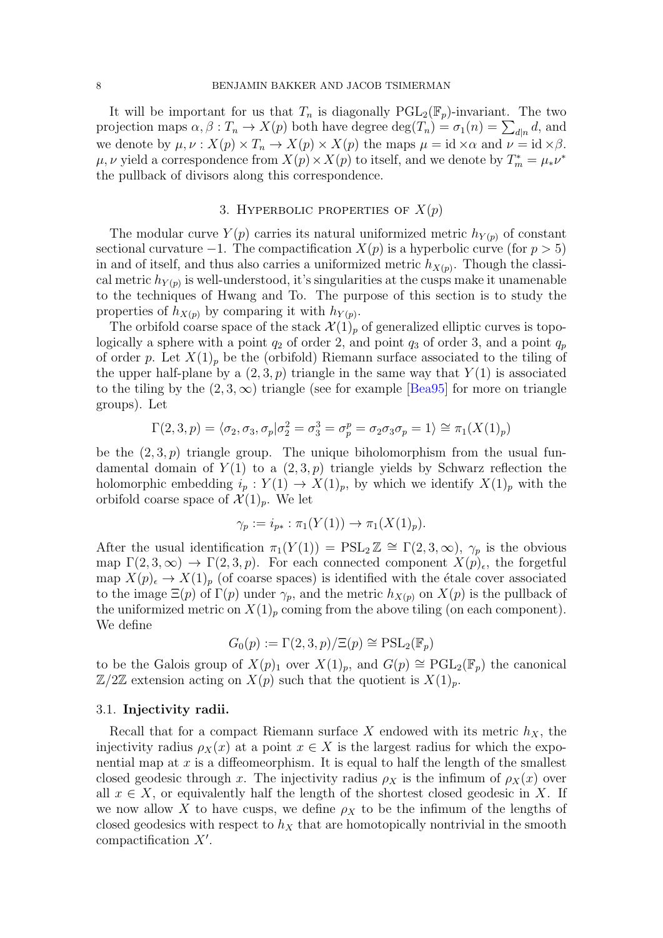It will be important for us that  $T_n$  is diagonally  $PGL_2(\mathbb{F}_p)$ -invariant. The two projection maps  $\alpha, \beta : T_n \to X(p)$  both have degree  $\deg(T_n) = \sigma_1(n) = \sum_{d|n} d$ , and we denote by  $\mu, \nu : X(p) \times T_n \to X(p) \times X(p)$  the maps  $\mu = id \times \alpha$  and  $\nu = id \times \beta$ .  $\mu, \nu$  yield a correspondence from  $X(p) \times X(p)$  to itself, and we denote by  $T_m^* = \mu_* \nu^*$ the pullback of divisors along this correspondence.

# 3. HYPERBOLIC PROPERTIES OF  $X(p)$

<span id="page-7-0"></span>The modular curve  $Y(p)$  carries its natural uniformized metric  $h_{Y(p)}$  of constant sectional curvature  $-1$ . The compactification  $X(p)$  is a hyperbolic curve (for  $p > 5$ ) in and of itself, and thus also carries a uniformized metric  $h_{X(p)}$ . Though the classical metric  $h_{Y(p)}$  is well-understood, it's singularities at the cusps make it unamenable to the techniques of Hwang and To. The purpose of this section is to study the properties of  $h_{X(p)}$  by comparing it with  $h_{Y(p)}$ .

The orbifold coarse space of the stack  $\mathcal{X}(1)_p$  of generalized elliptic curves is topologically a sphere with a point  $q_2$  of order 2, and point  $q_3$  of order 3, and a point  $q_p$ of order p. Let  $X(1)_p$  be the (orbifold) Riemann surface associated to the tiling of the upper half-plane by a  $(2,3, p)$  triangle in the same way that  $Y(1)$  is associated to the tiling by the  $(2, 3, \infty)$  triangle (see for example [\[Bea95\]](#page-29-5) for more on triangle groups). Let

$$
\Gamma(2,3,p)=\langle \sigma_2, \sigma_3, \sigma_p | \sigma_2^2=\sigma_3^3=\sigma_p^p=\sigma_2 \sigma_3 \sigma_p=1 \rangle \cong \pi_1(X(1)_p)
$$

be the  $(2,3,p)$  triangle group. The unique biholomorphism from the usual fundamental domain of  $Y(1)$  to a  $(2, 3, p)$  triangle yields by Schwarz reflection the holomorphic embedding  $i_p : Y(1) \to X(1)_p$ , by which we identify  $X(1)_p$  with the orbifold coarse space of  $\mathcal{X}(1)_p$ . We let

$$
\gamma_p := i_{p*} : \pi_1(Y(1)) \to \pi_1(X(1)_p).
$$

After the usual identification  $\pi_1(Y(1)) = \text{PSL}_2 \mathbb{Z} \cong \Gamma(2, 3, \infty)$ ,  $\gamma_p$  is the obvious map  $\Gamma(2,3,\infty) \to \Gamma(2,3,p)$ . For each connected component  $X(p)_{\epsilon}$ , the forgetful map  $X(p)_{\epsilon} \to X(1)_p$  (of coarse spaces) is identified with the étale cover associated to the image  $\Xi(p)$  of  $\Gamma(p)$  under  $\gamma_p$ , and the metric  $h_{X(p)}$  on  $X(p)$  is the pullback of the uniformized metric on  $X(1)_p$  coming from the above tiling (on each component). We define

$$
G_0(p) := \Gamma(2,3,p)/\Xi(p) \cong \mathrm{PSL}_2(\mathbb{F}_p)
$$

to be the Galois group of  $X(p)_1$  over  $X(1)_p$ , and  $G(p) \cong {\rm PGL}_2(\mathbb{F}_p)$  the canonical  $\mathbb{Z}/2\mathbb{Z}$  extension acting on  $X(p)$  such that the quotient is  $X(1)_p$ .

#### 3.1. Injectivity radii.

Recall that for a compact Riemann surface X endowed with its metric  $h_X$ , the injectivity radius  $\rho_X(x)$  at a point  $x \in X$  is the largest radius for which the exponential map at  $x$  is a diffeomeorphism. It is equal to half the length of the smallest closed geodesic through x. The injectivity radius  $\rho_X$  is the infimum of  $\rho_X(x)$  over all  $x \in X$ , or equivalently half the length of the shortest closed geodesic in X. If we now allow X to have cusps, we define  $\rho_X$  to be the infimum of the lengths of closed geodesics with respect to  $h_X$  that are homotopically nontrivial in the smooth compactification  $X'$ .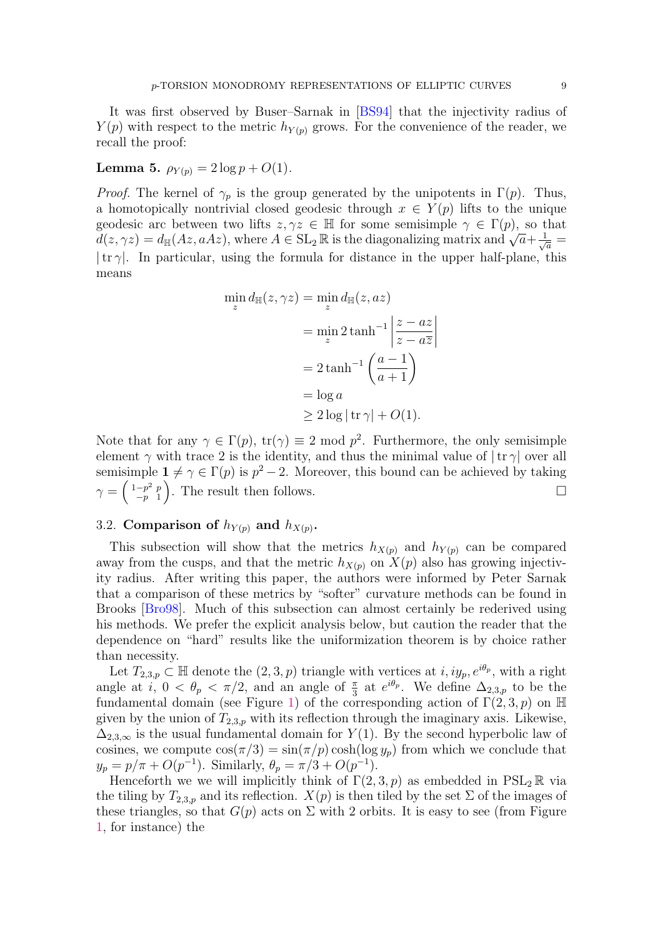<span id="page-8-0"></span>Lemma 5.  $\rho_{Y(p)} = 2 \log p + O(1)$ .

*Proof.* The kernel of  $\gamma_p$  is the group generated by the unipotents in  $\Gamma(p)$ . Thus, a homotopically nontrivial closed geodesic through  $x \in Y(p)$  lifts to the unique geodesic arc between two lifts  $z, \gamma z \in \mathbb{H}$  for some semisimple  $\gamma \in \Gamma(p)$ , so that geodesic arc between two mits  $z, \gamma z \in \mathbb{H}$  for some semisimple  $\gamma \in \Gamma(p)$ , so that  $d(z, \gamma z) = d_{\mathbb{H}}(Az, aAz)$ , where  $A \in SL_2 \mathbb{R}$  is the diagonalizing matrix and  $\sqrt{a} + \frac{1}{\sqrt{a}} =$  $|\text{tr }\gamma|$ . In particular, using the formula for distance in the upper half-plane, this means

$$
\min_{z} d_{\mathbb{H}}(z, \gamma z) = \min_{z} d_{\mathbb{H}}(z, az)
$$

$$
= \min_{z} 2 \tanh^{-1} \left| \frac{z - az}{z - a\overline{z}} \right|
$$

$$
= 2 \tanh^{-1} \left( \frac{a - 1}{a + 1} \right)
$$

$$
= \log a
$$

$$
\geq 2 \log |\operatorname{tr} \gamma| + O(1).
$$

 $\Big\}$  $\overline{\phantom{a}}$  $\vert$ 

Note that for any  $\gamma \in \Gamma(p)$ ,  $tr(\gamma) \equiv 2 \mod p^2$ . Furthermore, the only semisimple element  $\gamma$  with trace 2 is the identity, and thus the minimal value of  $|\text{tr }\gamma|$  over all semisimple  $1 \neq \gamma \in \Gamma(p)$  is  $p^2 - 2$ . Moreover, this bound can be achieved by taking  $\gamma = \left(\begin{smallmatrix} 1-p^2 & p \\ -p & 1 \end{smallmatrix}\right)$  $\begin{bmatrix} -p^2 & p \\ -p & 1 \end{bmatrix}$ . The result then follows.

# 3.2. Comparison of  $h_{Y(p)}$  and  $h_{X(p)}$ .

This subsection will show that the metrics  $h_{X(p)}$  and  $h_{Y(p)}$  can be compared away from the cusps, and that the metric  $h_{X(p)}$  on  $X(p)$  also has growing injectivity radius. After writing this paper, the authors were informed by Peter Sarnak that a comparison of these metrics by "softer" curvature methods can be found in Brooks [\[Bro98\]](#page-29-7). Much of this subsection can almost certainly be rederived using his methods. We prefer the explicit analysis below, but caution the reader that the dependence on "hard" results like the uniformization theorem is by choice rather than necessity.

Let  $T_{2,3,p} \subset \mathbb{H}$  denote the  $(2,3,p)$  triangle with vertices at  $i, iy_p, e^{i\theta_p}$ , with a right angle at *i*,  $0 < \theta_p < \pi/2$ , and an angle of  $\frac{\pi}{3}$  at  $e^{i\theta_p}$ . We define  $\Delta_{2,3,p}$  to be the fundamental domain (see Figure [1\)](#page-9-0) of the corresponding action of  $\Gamma(2,3,p)$  on H given by the union of  $T_{2,3,p}$  with its reflection through the imaginary axis. Likewise,  $\Delta_{2,3,\infty}$  is the usual fundamental domain for  $Y(1)$ . By the second hyperbolic law of cosines, we compute  $\cos(\pi/3) = \sin(\pi/p) \cosh(\log y_p)$  from which we conclude that  $y_p = p/\pi + O(p^{-1})$ . Similarly,  $\theta_p = \pi/3 + O(p^{-1})$ .

Henceforth we we will implicitly think of  $\Gamma(2,3,p)$  as embedded in  $PSL_2 \mathbb{R}$  via the tiling by  $T_{2,3,p}$  and its reflection.  $X(p)$  is then tiled by the set  $\Sigma$  of the images of these triangles, so that  $G(p)$  acts on  $\Sigma$  with 2 orbits. It is easy to see (from Figure [1,](#page-9-0) for instance) the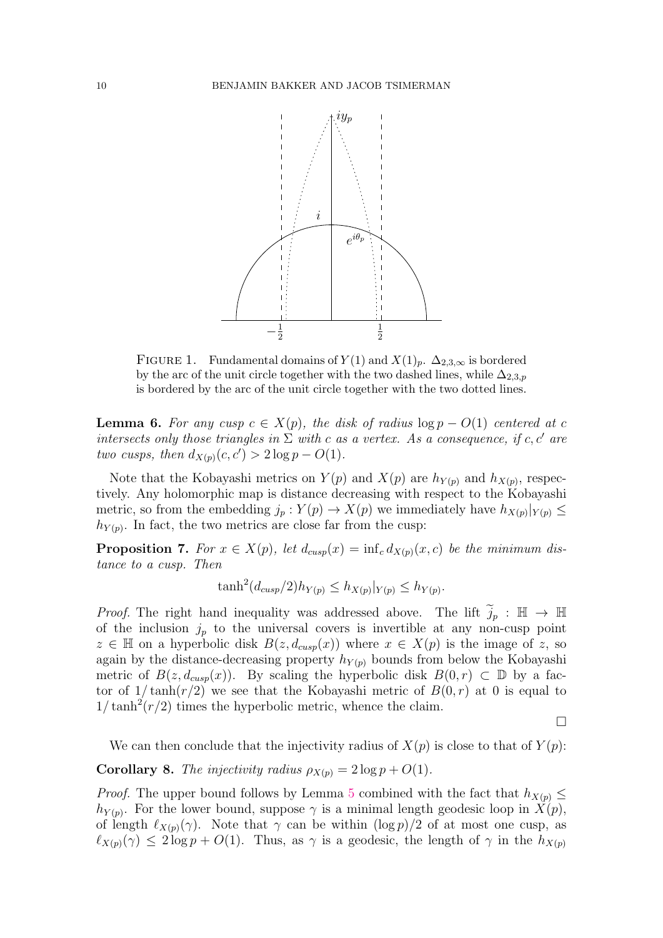

<span id="page-9-0"></span>FIGURE 1. Fundamental domains of  $Y(1)$  and  $X(1)_p$ .  $\Delta_{2,3,\infty}$  is bordered by the arc of the unit circle together with the two dashed lines, while  $\Delta_{2,3,p}$ is bordered by the arc of the unit circle together with the two dotted lines.

<span id="page-9-3"></span>**Lemma 6.** For any cusp  $c \in X(p)$ , the disk of radius  $\log p - O(1)$  centered at c intersects only those triangles in  $\Sigma$  with c as a vertex. As a consequence, if c, c' are two cusps, then  $d_{X(p)}(c, c') > 2 \log p - O(1)$ .

Note that the Kobayashi metrics on  $Y(p)$  and  $X(p)$  are  $h_{Y(p)}$  and  $h_{X(p)}$ , respectively. Any holomorphic map is distance decreasing with respect to the Kobayashi metric, so from the embedding  $j_p: Y(p) \to X(p)$  we immediately have  $h_{X(p)}|_{Y(p)} \leq$  $h_{Y(p)}$ . In fact, the two metrics are close far from the cusp:

<span id="page-9-1"></span>**Proposition 7.** For  $x \in X(p)$ , let  $d_{cusp}(x) = \inf_c d_{X(p)}(x, c)$  be the minimum distance to a cusp. Then

$$
\tanh^2(d_{cusp}/2)h_{Y(p)} \leq h_{X(p)}|_{Y(p)} \leq h_{Y(p)}.
$$

*Proof.* The right hand inequality was addressed above. The lift  $j_p : \mathbb{H} \to \mathbb{H}$ of the inclusion  $j_p$  to the universal covers is invertible at any non-cusp point  $z \in \mathbb{H}$  on a hyperbolic disk  $B(z, d_{cusp}(x))$  where  $x \in X(p)$  is the image of z, so again by the distance-decreasing property  $h_{Y(p)}$  bounds from below the Kobayashi metric of  $B(z, d_{cusp}(x))$ . By scaling the hyperbolic disk  $B(0, r) \subset \mathbb{D}$  by a factor of  $1/\tanh(r/2)$  we see that the Kobayashi metric of  $B(0,r)$  at 0 is equal to  $1/\tanh^2(r/2)$  times the hyperbolic metric, whence the claim.

 $\Box$ 

We can then conclude that the injectivity radius of  $X(p)$  is close to that of  $Y(p)$ :

<span id="page-9-2"></span>**Corollary 8.** The injectivity radius  $\rho_{X(p)} = 2 \log p + O(1)$ .

*Proof.* The upper bound follows by Lemma [5](#page-8-0) combined with the fact that  $h_{X(p)} \leq$  $h_{Y(p)}$ . For the lower bound, suppose  $\gamma$  is a minimal length geodesic loop in  $X(p)$ , of length  $\ell_{X(p)}(\gamma)$ . Note that  $\gamma$  can be within  $(\log p)/2$  of at most one cusp, as  $\ell_{X(p)}(\gamma) \leq 2 \log p + O(1)$ . Thus, as  $\gamma$  is a geodesic, the length of  $\gamma$  in the  $h_{X(p)}$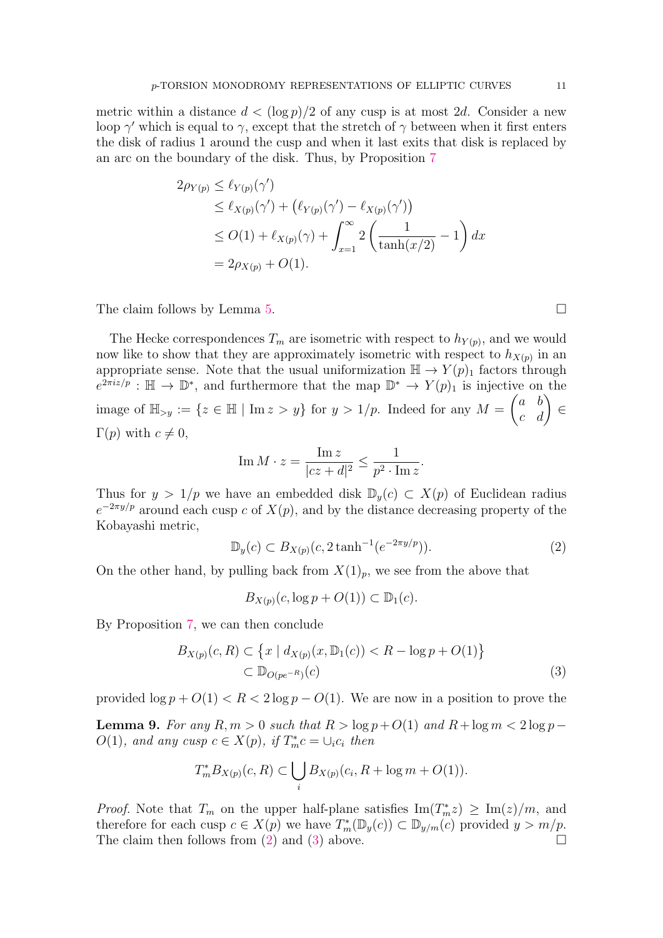metric within a distance  $d < (\log p)/2$  of any cusp is at most 2d. Consider a new loop  $\gamma'$  which is equal to  $\gamma$ , except that the stretch of  $\gamma$  between when it first enters the disk of radius 1 around the cusp and when it last exits that disk is replaced by an arc on the boundary of the disk. Thus, by Proposition [7](#page-9-1)

$$
2\rho_{Y(p)} \leq \ell_{Y(p)}(\gamma')
$$
  
\n
$$
\leq \ell_{X(p)}(\gamma') + (\ell_{Y(p)}(\gamma') - \ell_{X(p)}(\gamma'))
$$
  
\n
$$
\leq O(1) + \ell_{X(p)}(\gamma) + \int_{x=1}^{\infty} 2\left(\frac{1}{\tanh(x/2)} - 1\right) dx
$$
  
\n
$$
= 2\rho_{X(p)} + O(1).
$$

The claim follows by Lemma [5.](#page-8-0)

The Hecke correspondences  $T_m$  are isometric with respect to  $h_{Y(p)}$ , and we would now like to show that they are approximately isometric with respect to  $h_{X(p)}$  in an appropriate sense. Note that the usual uniformization  $\mathbb{H} \to Y(p)_1$  factors through  $e^{2\pi i z/p}$ :  $\mathbb{H} \to \mathbb{D}^*$ , and furthermore that the map  $\mathbb{D}^* \to Y(p)_1$  is injective on the image of  $\mathbb{H}_{>y} := \{z \in \mathbb{H} \mid \text{Im } z > y\}$  for  $y > 1/p$ . Indeed for any  $M = \begin{pmatrix} a & b \\ c & d \end{pmatrix} \in$  $\Gamma(p)$  with  $c \neq 0$ ,

$$
\operatorname{Im} M \cdot z = \frac{\operatorname{Im} z}{|cz+d|^2} \le \frac{1}{p^2 \cdot \operatorname{Im} z}.
$$

Thus for  $y > 1/p$  we have an embedded disk  $\mathbb{D}_y(c) \subset X(p)$  of Euclidean radius  $e^{-2\pi y/p}$  around each cusp c of  $X(p)$ , and by the distance decreasing property of the Kobayashi metric,

<span id="page-10-0"></span>
$$
\mathbb{D}_y(c) \subset B_{X(p)}(c, 2\tanh^{-1}(e^{-2\pi y/p})).\tag{2}
$$

On the other hand, by pulling back from  $X(1)_p$ , we see from the above that

<span id="page-10-1"></span>
$$
B_{X(p)}(c, \log p + O(1)) \subset \mathbb{D}_1(c).
$$

By Proposition [7,](#page-9-1) we can then conclude

$$
B_{X(p)}(c, R) \subset \left\{ x \mid d_{X(p)}(x, \mathbb{D}_1(c)) < R - \log p + O(1) \right\}
$$
\n
$$
\subset \mathbb{D}_{O(pe^{-R})}(c) \tag{3}
$$

provided  $\log p + O(1) < R < 2 \log p - O(1)$ . We are now in a position to prove the

<span id="page-10-2"></span>Lemma 9. For any  $R, m > 0$  such that  $R > log p + O(1)$  and  $R + log m < 2 log p O(1)$ , and any cusp  $c \in X(p)$ , if  $T_m^*c = \bigcup_i c_i$  then

$$
T_m^*B_{X(p)}(c, R) \subset \bigcup_i B_{X(p)}(c_i, R + \log m + O(1)).
$$

*Proof.* Note that  $T_m$  on the upper half-plane satisfies  $\text{Im}(T_m^*z) \ge \text{Im}(z)/m$ , and therefore for each cusp  $c \in X(p)$  we have  $T_m^*(\mathbb{D}_y(c)) \subset \mathbb{D}_{y/m}(c)$  provided  $y > m/p$ . The claim then follows from [\(2\)](#page-10-0) and [\(3\)](#page-10-1) above.  $\Box$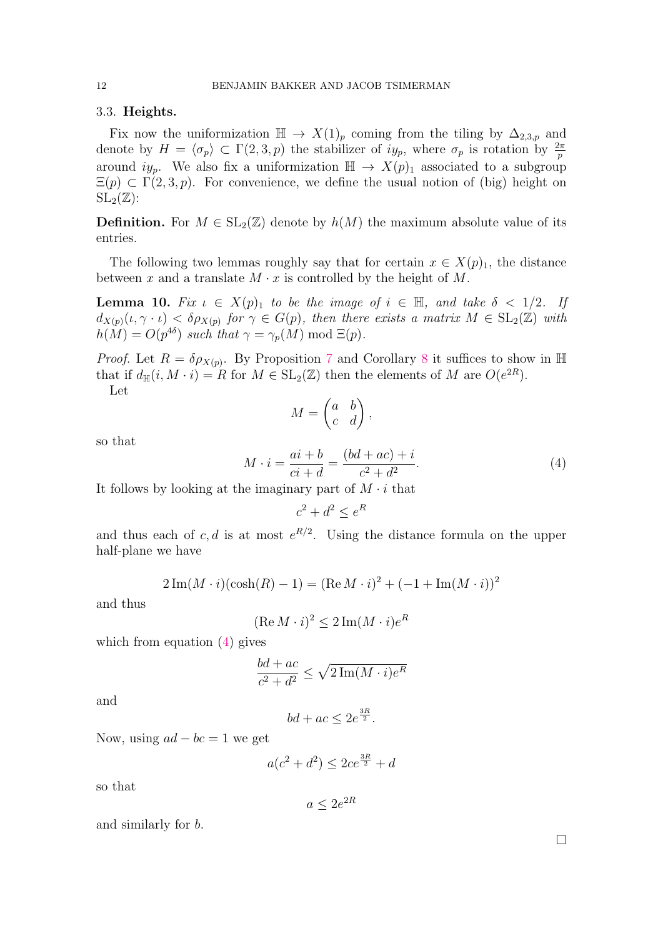#### 3.3. Heights.

Fix now the uniformization  $\mathbb{H} \to X(1)_p$  coming from the tiling by  $\Delta_{2,3,p}$  and denote by  $H = \langle \sigma_p \rangle \subset \Gamma(2, 3, p)$  the stabilizer of  $iy_p$ , where  $\sigma_p$  is rotation by  $\frac{2\pi}{p}$ around  $iy_p$ . We also fix a uniformization  $\mathbb{H} \to X(p)_1$  associated to a subgroup  $\Xi(p) \subset \Gamma(2, 3, p)$ . For convenience, we define the usual notion of (big) height on  $\mathrm{SL}_2(\mathbb{Z})$ :

**Definition.** For  $M \in SL_2(\mathbb{Z})$  denote by  $h(M)$  the maximum absolute value of its entries.

The following two lemmas roughly say that for certain  $x \in X(p)_1$ , the distance between x and a translate  $M \cdot x$  is controlled by the height of M.

<span id="page-11-1"></span>**Lemma 10.** Fix  $\iota \in X(p)_1$  to be the image of  $i \in \mathbb{H}$ , and take  $\delta < 1/2$ . If  $d_{X(p)}(\iota, \gamma \cdot \iota) < \delta \rho_{X(p)}$  for  $\gamma \in G(p)$ , then there exists a matrix  $M \in SL_2(\mathbb{Z})$  with  $h(M) = O(p^{4\delta})$  such that  $\gamma = \gamma_p(M) \text{ mod } \Xi(p)$ .

*Proof.* Let  $R = \delta \rho_{X(p)}$ . By Proposition [7](#page-9-1) and Corollary [8](#page-9-2) it suffices to show in H that if  $d_{\mathbb{H}}(i, M \cdot i) = R$  for  $M \in SL_2(\mathbb{Z})$  then the elements of M are  $O(e^{2R})$ .

Let

$$
M = \begin{pmatrix} a & b \\ c & d \end{pmatrix},
$$

so that

<span id="page-11-0"></span>
$$
M \cdot i = \frac{ai + b}{ci + d} = \frac{(bd + ac) + i}{c^2 + d^2}.
$$
 (4)

It follows by looking at the imaginary part of  $M \cdot i$  that

$$
c^2 + d^2 \le e^R
$$

and thus each of c, d is at most  $e^{R/2}$ . Using the distance formula on the upper half-plane we have

$$
2\operatorname{Im}(M \cdot i)(\cosh(R) - 1) = (\operatorname{Re} M \cdot i)^{2} + (-1 + \operatorname{Im}(M \cdot i))^{2}
$$

and thus

$$
(\text{Re } M \cdot i)^2 \le 2 \, \text{Im} (M \cdot i) e^R
$$

which from equation  $(4)$  gives

$$
\frac{bd + ac}{c^2 + d^2} \le \sqrt{2 \operatorname{Im}(M \cdot i) e^R}
$$

and

$$
bd + ac \le 2e^{\frac{3R}{2}}.
$$

Now, using  $ad - bc = 1$  we get

$$
a(c^2 + d^2) \le 2ce^{\frac{3R}{2}} + d
$$

so that

$$
a \le 2e^{2R}
$$

and similarly for b.

 $\Box$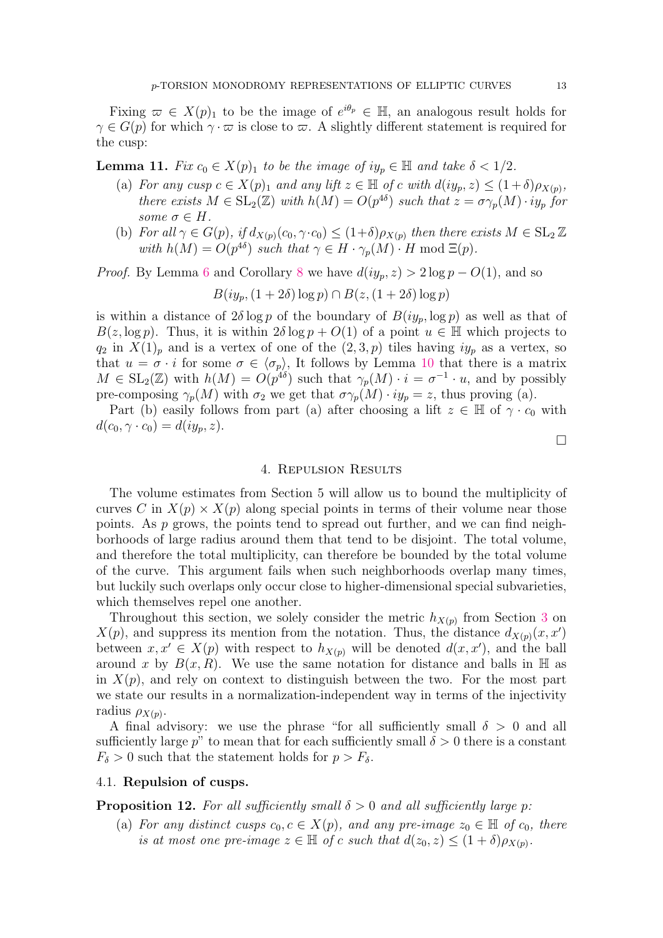Fixing  $\varpi \in X(p)_1$  to be the image of  $e^{i\theta_p} \in \mathbb{H}$ , an analogous result holds for  $\gamma \in G(p)$  for which  $\gamma \cdot \varpi$  is close to  $\varpi$ . A slightly different statement is required for the cusp:

<span id="page-12-1"></span>**Lemma 11.** Fix  $c_0 \in X(p)_1$  to be the image of  $iy_p \in \mathbb{H}$  and take  $\delta < 1/2$ .

- (a) For any cusp  $c \in X(p)_1$  and any lift  $z \in \mathbb{H}$  of c with  $d(iy_p, z) \leq (1+\delta)\rho_{X(p)}$ , there exists  $M \in SL_2(\mathbb{Z})$  with  $h(M) = O(p^{4\delta})$  such that  $z = \sigma \gamma_p(M) \cdot iy_p$  for some  $\sigma \in H$ .
- (b) For all  $\gamma \in G(p)$ , if  $d_{X(p)}(c_0, \gamma \cdot c_0) \leq (1+\delta)\rho_{X(p)}$  then there exists  $M \in SL_2 \mathbb{Z}$ with  $h(M) = O(p^{4\delta})$  such that  $\gamma \in H \cdot \gamma_p(M) \cdot H \mod \Xi(p)$ .

*Proof.* By Lemma [6](#page-9-3) and Corollary [8](#page-9-2) we have  $d(iy_p, z) > 2 \log p - O(1)$ , and so

$$
B(iy_p, (1+2\delta)\log p) \cap B(z, (1+2\delta)\log p)
$$

is within a distance of  $2\delta \log p$  of the boundary of  $B(iy_p, \log p)$  as well as that of  $B(z, \log p)$ . Thus, it is within  $2\delta \log p + O(1)$  of a point  $u \in \mathbb{H}$  which projects to  $q_2$  in  $X(1)_p$  and is a vertex of one of the  $(2, 3, p)$  tiles having  $iy_p$  as a vertex, so that  $u = \sigma \cdot i$  for some  $\sigma \in \langle \sigma_p \rangle$ , It follows by Lemma [10](#page-11-1) that there is a matrix  $M \in SL_2(\mathbb{Z})$  with  $h(M) = O(p^{4\delta})$  such that  $\gamma_p(M) \cdot i = \sigma^{-1} \cdot u$ , and by possibly pre-composing  $\gamma_p(M)$  with  $\sigma_2$  we get that  $\sigma\gamma_p(M) \cdot iy_p = z$ , thus proving (a).

Part (b) easily follows from part (a) after choosing a lift  $z \in \mathbb{H}$  of  $\gamma \cdot c_0$  with  $d(c_0, \gamma \cdot c_0) = d(iy_p, z).$ 

#### $\Box$

### 4. Repulsion Results

<span id="page-12-0"></span>The volume estimates from Section 5 will allow us to bound the multiplicity of curves C in  $X(p) \times X(p)$  along special points in terms of their volume near those points. As  $p$  grows, the points tend to spread out further, and we can find neighborhoods of large radius around them that tend to be disjoint. The total volume, and therefore the total multiplicity, can therefore be bounded by the total volume of the curve. This argument fails when such neighborhoods overlap many times, but luckily such overlaps only occur close to higher-dimensional special subvarieties, which themselves repel one another.

Throughout this section, we solely consider the metric  $h_{X(p)}$  from Section [3](#page-7-0) on  $X(p)$ , and suppress its mention from the notation. Thus, the distance  $d_{X(p)}(x, x')$ between  $x, x' \in X(p)$  with respect to  $h_{X(p)}$  will be denoted  $d(x, x')$ , and the ball around x by  $B(x, R)$ . We use the same notation for distance and balls in  $\mathbb H$  as in  $X(p)$ , and rely on context to distinguish between the two. For the most part we state our results in a normalization-independent way in terms of the injectivity radius  $\rho_{X(p)}$ .

A final advisory: we use the phrase "for all sufficiently small  $\delta > 0$  and all sufficiently large p" to mean that for each sufficiently small  $\delta > 0$  there is a constant  $F_{\delta} > 0$  such that the statement holds for  $p > F_{\delta}$ .

### 4.1. Repulsion of cusps.

<span id="page-12-2"></span>**Proposition 12.** For all sufficiently small  $\delta > 0$  and all sufficiently large p:

(a) For any distinct cusps  $c_0, c \in X(p)$ , and any pre-image  $z_0 \in \mathbb{H}$  of  $c_0$ , there is at most one pre-image  $z \in \mathbb{H}$  of c such that  $d(z_0, z) \leq (1 + \delta) \rho_{X(p)}$ .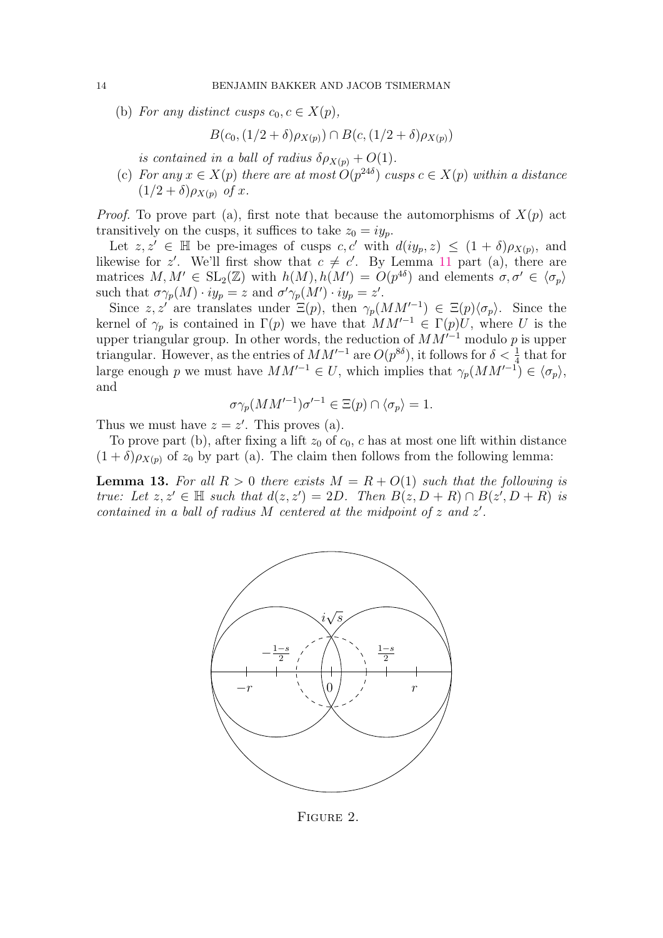(b) For any distinct cusps  $c_0, c \in X(p)$ ,

 $B(c_0,(1/2+\delta)\rho_{X(n)}) \cap B(c,(1/2+\delta)\rho_{X(n)})$ 

is contained in a ball of radius  $\delta \rho_{X(p)} + O(1)$ .

(c) For any  $x \in X(p)$  there are at most  $O(p^{24\delta})$  cusps  $c \in X(p)$  within a distance  $(1/2+\delta)\rho_{X(n)}$  of x.

*Proof.* To prove part (a), first note that because the automorphisms of  $X(p)$  act transitively on the cusps, it suffices to take  $z_0 = iy_n$ .

Let  $z, z' \in \mathbb{H}$  be pre-images of cusps c, c' with  $d(iy_p, z) \leq (1 + \delta)\rho_{X(p)}$ , and likewise for z'. We'll first show that  $c \neq c'$ . By Lemma [11](#page-12-1) part (a), there are matrices  $M, M' \in SL_2(\mathbb{Z})$  with  $h(M), h(M') = O(p^{4\delta})$  and elements  $\sigma, \sigma' \in \langle \sigma_p \rangle$ such that  $\sigma \gamma_p(M) \cdot iy_p = z$  and  $\sigma' \gamma_p(M') \cdot iy_p = z'$ .

Since z, z' are translates under  $\Xi(p)$ , then  $\gamma_p(MM^{-1}) \in \Xi(p)\langle \sigma_p \rangle$ . Since the kernel of  $\gamma_p$  is contained in  $\Gamma(p)$  we have that  $MM'^{-1} \in \Gamma(p)U$ , where U is the upper triangular group. In other words, the reduction of  $MM^{-1}$  modulo p is upper triangular. However, as the entries of  $MM'^{-1}$  are  $O(p^{8\delta})$ , it follows for  $\delta < \frac{1}{4}$  that for large enough p we must have  $MM'^{-1} \in U$ , which implies that  $\gamma_p(MM'^{-1}) \in \langle \sigma_p \rangle$ , and

$$
\sigma \gamma_p(MM'^{-1}) \sigma'^{-1} \in \Xi(p) \cap \langle \sigma_p \rangle = 1.
$$

Thus we must have  $z = z'$ . This proves (a).

To prove part (b), after fixing a lift  $z_0$  of  $c_0$ , c has at most one lift within distance  $(1 + \delta)\rho_{X(p)}$  of  $z_0$  by part (a). The claim then follows from the following lemma:

**Lemma 13.** For all  $R > 0$  there exists  $M = R + O(1)$  such that the following is true: Let  $z, z' \in \mathbb{H}$  such that  $d(z, z') = 2D$ . Then  $B(z, D + R) \cap B(z', D + R)$  is contained in a ball of radius  $M$  centered at the midpoint of  $z$  and  $z'$ .



<span id="page-13-0"></span>FIGURE 2.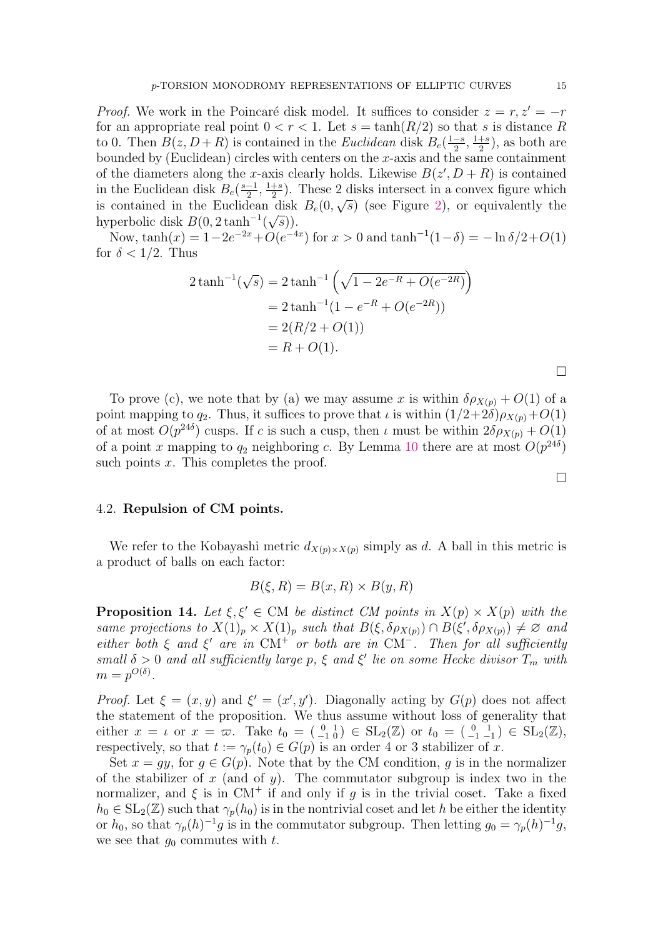*Proof.* We work in the Poincaré disk model. It suffices to consider  $z = r, z' = -r$ for an appropriate real point  $0 < r < 1$ . Let  $s = \tanh(R/2)$  so that s is distance R to 0. Then  $B(z, D+R)$  is contained in the *Euclidean* disk  $B_e(\frac{1-s}{2})$  $\frac{-s}{2}, \frac{1+s}{2}$  $\frac{+s}{2}$ , as both are bounded by (Euclidean) circles with centers on the  $x$ -axis and the same containment of the diameters along the x-axis clearly holds. Likewise  $B(z', D + R)$  is contained in the Euclidean disk  $B_e(\frac{s-1}{2})$  $\frac{-1}{2}, \frac{1+s}{2}$  $\frac{1}{2}$ ). These 2 disks intersect in a convex figure which is contained in the Euclidean disk  $B_e(0,\sqrt{s})$  (see Figure [2\)](#page-13-0), or equivalently the hyperbolic disk  $B(0, 2 \tanh^{-1}(\sqrt{s}))$ .

Now,  $\tanh(x) = 1 - 2e^{-2x} + O(e^{-4x})$  for  $x > 0$  and  $\tanh^{-1}(1-\delta) = -\ln \delta/2 + O(1)$ for  $\delta < 1/2$ . Thus

$$
2\tanh^{-1}(\sqrt{s}) = 2\tanh^{-1}\left(\sqrt{1 - 2e^{-R} + O(e^{-2R})}\right)
$$
  
= 2\tanh^{-1}(1 - e^{-R} + O(e^{-2R}))  
= 2(R/2 + O(1))  
= R + O(1).

To prove (c), we note that by (a) we may assume x is within  $\delta \rho_{X(p)} + O(1)$  of a point mapping to  $q_2$ . Thus, it suffices to prove that  $\iota$  is within  $(1/2+2\delta)\rho_{X(p)}+O(1)$ of at most  $O(p^{24\delta})$  cusps. If c is such a cusp, then  $\iota$  must be within  $2\delta\rho_{X(p)} + O(1)$ of a point x mapping to  $q_2$  neighboring c. By Lemma [10](#page-11-1) there are at most  $O(p^{24\delta})$ such points  $x$ . This completes the proof.

### 4.2. Repulsion of CM points.

We refer to the Kobayashi metric  $d_{X(p)\times X(p)}$  simply as d. A ball in this metric is a product of balls on each factor:

$$
B(\xi, R) = B(x, R) \times B(y, R)
$$

<span id="page-14-0"></span>**Proposition 14.** Let  $\xi, \xi' \in CM$  be distinct CM points in  $X(p) \times X(p)$  with the same projections to  $X(1)_p \times X(1)_p$  such that  $B(\xi, \delta \rho_{X(p)}) \cap B(\xi', \delta \rho_{X(p)}) \neq \emptyset$  and either both  $\xi$  and  $\xi'$  are in CM<sup>+</sup> or both are in CM<sup>-</sup>. Then for all sufficiently small  $\delta > 0$  and all sufficiently large p,  $\xi$  and  $\xi'$  lie on some Hecke divisor  $T_m$  with  $m = p^{O(\delta)}.$ 

*Proof.* Let  $\xi = (x, y)$  and  $\xi' = (x', y')$ . Diagonally acting by  $G(p)$  does not affect the statement of the proposition. We thus assume without loss of generality that either  $x = \iota$  or  $x = \overline{\omega}$ . Take  $t_0 = \begin{pmatrix} 0 & 1 \\ -1 & 0 \end{pmatrix} \in SL_2(\mathbb{Z})$  or  $t_0 = \begin{pmatrix} 0 & 1 \\ -1 & -1 \end{pmatrix} \in SL_2(\mathbb{Z})$ , respectively, so that  $t := \gamma_p(t_0) \in G(p)$  is an order 4 or 3 stabilizer of x.

Set  $x = qy$ , for  $q \in G(p)$ . Note that by the CM condition, q is in the normalizer of the stabilizer of x (and of  $y$ ). The commutator subgroup is index two in the normalizer, and  $\xi$  is in CM<sup>+</sup> if and only if g is in the trivial coset. Take a fixed  $h_0 \in SL_2(\mathbb{Z})$  such that  $\gamma_p(h_0)$  is in the nontrivial coset and let h be either the identity or  $h_0$ , so that  $\gamma_p(h)^{-1}g$  is in the commutator subgroup. Then letting  $g_0 = \gamma_p(h)^{-1}g$ , we see that  $q_0$  commutes with t.

 $\Box$ 

 $\Box$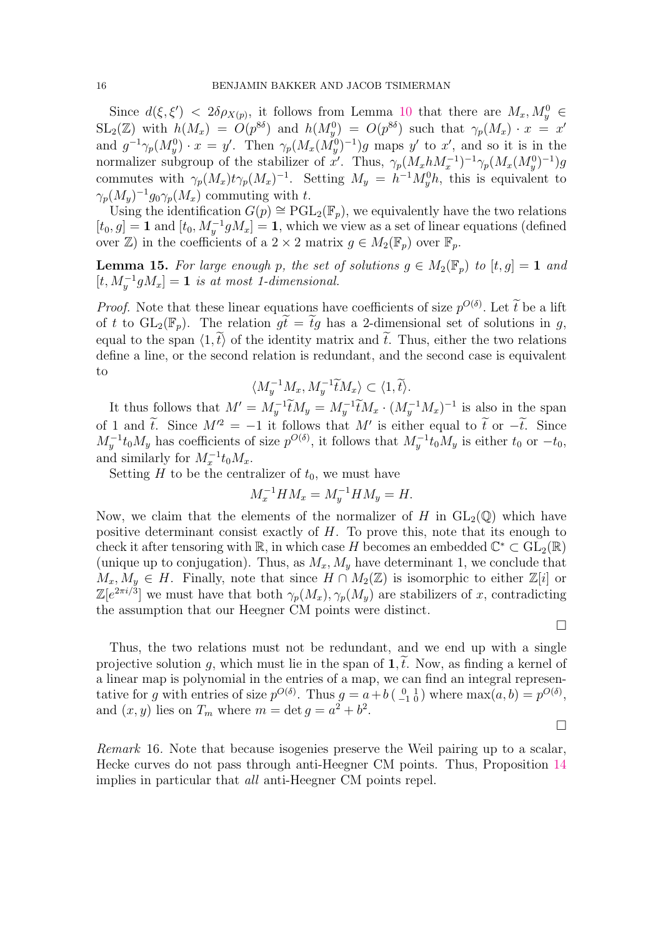Since  $d(\xi, \xi')$  <  $2\delta \rho_{X(p)}$ , it follows from Lemma [10](#page-11-1) that there are  $M_x, M_y^0 \in$  $SL_2(\mathbb{Z})$  with  $h(M_x) = O(p^{8\delta})$  and  $h(M_y^0) = O(p^{8\delta})$  such that  $\gamma_p(M_x) \cdot x = x^{\delta}$ and  $g^{-1}\gamma_p(M_y^0) \cdot x = y'$ . Then  $\gamma_p(M_x(M_y^0)^{-1})g$  maps y' to x', and so it is in the normalizer subgroup of the stabilizer of x'. Thus,  $\gamma_p(M_x h M_x^{-1})^{-1} \gamma_p(M_x (M_y^0)^{-1}) g$ commutes with  $\gamma_p(M_x)t\gamma_p(M_x)^{-1}$ . Setting  $M_y = h^{-1}M_y^0h$ , this is equivalent to  $\gamma_p(M_y)^{-1} g_0 \gamma_p(M_x)$  commuting with t.

Using the identification  $G(p) \cong \text{PGL}_2(\mathbb{F}_p)$ , we equivalently have the two relations  $[t_0, g] = \mathbf{1}$  and  $[t_0, M_y^{-1}gM_x] = \mathbf{1}$ , which we view as a set of linear equations (defined over  $\mathbb{Z}$ ) in the coefficients of a 2 × 2 matrix  $q \in M_2(\mathbb{F}_p)$  over  $\mathbb{F}_p$ .

**Lemma 15.** For large enough p, the set of solutions  $g \in M_2(\mathbb{F}_p)$  to  $[t, g] = 1$  and  $[t, M_y^{-1}gM_x] = 1$  is at most 1-dimensional.

*Proof.* Note that these linear equations have coefficients of size  $p^{O(\delta)}$ . Let  $\widetilde{t}$  be a lift of t to  $GL_2(\mathbb{F}_p)$ . The relation  $g_t \tilde{t} = \tilde{t}g$  has a 2-dimensional set of solutions in g, equal to the span  $\langle 1, \tilde{t} \rangle$  of the identity matrix and  $\tilde{t}$ . Thus, either the two relations define a line, or the second relation is redundant, and the second case is equivalent to

$$
\langle M_y^{-1} M_x, M_y^{-1} \widetilde{t} M_x \rangle \subset \langle 1, \widetilde{t} \rangle.
$$

It thus follows that  $M' = M_y^{-1} \tilde{t} M_y = M_y^{-1} \tilde{t} M_x \cdot (M_y^{-1} M_x)^{-1}$  is also in the span of 1 and  $\tilde{t}$ . Since  $M'^2 = -1$  it follows that  $M'$  is either equal to  $\tilde{t}$  or  $-\tilde{t}$ . Since  $M_y^{-1}t_0M_y$  has coefficients of size  $p^{O(\delta)}$ , it follows that  $M_y^{-1}t_0M_y$  is either  $t_0$  or  $-t_0$ , and similarly for  $M_x^{-1}t_0M_x$ .

Setting  $H$  to be the centralizer of  $t_0$ , we must have

$$
M_x^{-1} H M_x = M_y^{-1} H M_y = H.
$$

Now, we claim that the elements of the normalizer of H in  $GL_2(\mathbb{Q})$  which have positive determinant consist exactly of H. To prove this, note that its enough to check it after tensoring with  $\mathbb{R}$ , in which case H becomes an embedded  $\mathbb{C}^* \subset \mathrm{GL}_2(\mathbb{R})$ (unique up to conjugation). Thus, as  $M_x, M_y$  have determinant 1, we conclude that  $M_x, M_y \in H$ . Finally, note that since  $H \cap M_2(\mathbb{Z})$  is isomorphic to either  $\mathbb{Z}[i]$  or  $\mathbb{Z}[e^{2\pi i/3}]$  we must have that both  $\gamma_p(M_x), \gamma_p(M_y)$  are stabilizers of x, contradicting the assumption that our Heegner CM points were distinct.

 $\Box$ 

 $\Box$ 

Thus, the two relations must not be redundant, and we end up with a single projective solution g, which must lie in the span of  $1, t$ . Now, as finding a kernel of a linear map is polynomial in the entries of a map, we can find an integral representative for g with entries of size  $p^{O(\delta)}$ . Thus  $g = a + b \begin{pmatrix} 0 & 1 \\ -1 & 0 \end{pmatrix}$  where  $\max(a, b) = p^{O(\delta)}$ , and  $(x, y)$  lies on  $T_m$  where  $m = \det g = a^2 + b^2$ .

Remark 16. Note that because isogenies preserve the Weil pairing up to a scalar, Hecke curves do not pass through anti-Heegner CM points. Thus, Proposition [14](#page-14-0) implies in particular that all anti-Heegner CM points repel.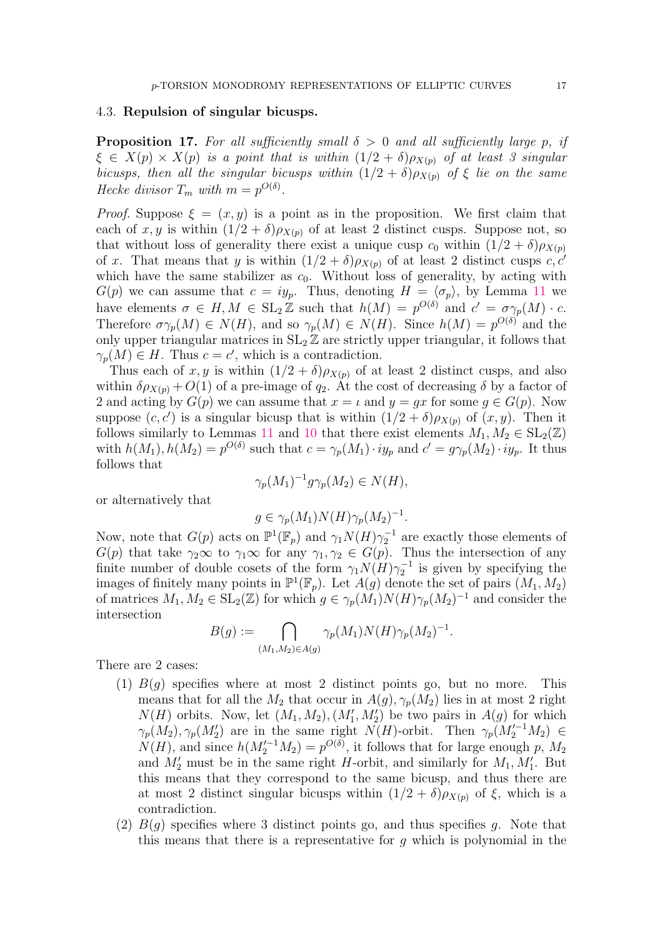#### 4.3. Repulsion of singular bicusps.

<span id="page-16-0"></span>**Proposition 17.** For all sufficiently small  $\delta > 0$  and all sufficiently large p, if  $\xi \in X(p) \times X(p)$  is a point that is within  $(1/2 + \delta)\rho_{X(p)}$  of at least 3 singular bicusps, then all the singular bicusps within  $(1/2 + \delta)\rho_{X(p)}$  of  $\xi$  lie on the same Hecke divisor  $T_m$  with  $m = p^{O(\delta)}$ .

*Proof.* Suppose  $\xi = (x, y)$  is a point as in the proposition. We first claim that each of x, y is within  $(1/2 + \delta)\rho_{X(p)}$  of at least 2 distinct cusps. Suppose not, so that without loss of generality there exist a unique cusp  $c_0$  within  $(1/2 + \delta)\rho_{X(p)}$ of x. That means that y is within  $(1/2 + \delta)\rho_{X(p)}$  of at least 2 distinct cusps c, c' which have the same stabilizer as  $c_0$ . Without loss of generality, by acting with  $G(p)$  we can assume that  $c = iy_p$ . Thus, denoting  $H = \langle \sigma_p \rangle$ , by Lemma [11](#page-12-1) we have elements  $\sigma \in H, M \in SL_2 \mathbb{Z}$  such that  $h(M) = p^{O(\delta)}$  and  $c' = \sigma \gamma_p(M) \cdot c$ . Therefore  $\sigma \gamma_p(M) \in N(H)$ , and so  $\gamma_p(M) \in N(H)$ . Since  $h(M) = p^{O(\delta)}$  and the only upper triangular matrices in  $SL_2 \mathbb{Z}$  are strictly upper triangular, it follows that  $\gamma_p(M) \in H$ . Thus  $c = c'$ , which is a contradiction.

Thus each of x, y is within  $(1/2 + \delta)\rho_{X(p)}$  of at least 2 distinct cusps, and also within  $\delta \rho_{X(p)} + O(1)$  of a pre-image of  $q_2$ . At the cost of decreasing  $\delta$  by a factor of 2 and acting by  $G(p)$  we can assume that  $x = \iota$  and  $y = gx$  for some  $g \in G(p)$ . Now suppose  $(c, c')$  is a singular bicusp that is within  $(1/2 + \delta)\rho_{X(p)}$  of  $(x, y)$ . Then it follows similarly to Lemmas [11](#page-12-1) and [10](#page-11-1) that there exist elements  $M_1, M_2 \in SL_2(\mathbb{Z})$ with  $h(M_1), h(M_2) = p^{O(\delta)}$  such that  $c = \gamma_p(M_1) \cdot iy_p$  and  $c' = g\gamma_p(M_2) \cdot iy_p$ . It thus follows that

$$
\gamma_p(M_1)^{-1} g \gamma_p(M_2) \in N(H),
$$

or alternatively that

$$
g \in \gamma_p(M_1) N(H) \gamma_p(M_2)^{-1}.
$$

Now, note that  $G(p)$  acts on  $\mathbb{P}^1(\mathbb{F}_p)$  and  $\gamma_1 N(H) \gamma_2^{-1}$  are exactly those elements of  $G(p)$  that take  $\gamma_2 \infty$  to  $\gamma_1 \infty$  for any  $\gamma_1, \gamma_2 \in G(p)$ . Thus the intersection of any finite number of double cosets of the form  $\gamma_1 N(H) \gamma_2^{-1}$  is given by specifying the images of finitely many points in  $\mathbb{P}^1(\mathbb{F}_p)$ . Let  $A(g)$  denote the set of pairs  $(M_1, M_2)$ of matrices  $M_1, M_2 \in SL_2(\mathbb{Z})$  for which  $g \in \gamma_p(M_1)N(H)\gamma_p(M_2)^{-1}$  and consider the intersection

$$
B(g) := \bigcap_{(M_1, M_2) \in A(g)} \gamma_p(M_1) N(H) \gamma_p(M_2)^{-1}.
$$

There are 2 cases:

- (1)  $B(g)$  specifies where at most 2 distinct points go, but no more. This means that for all the  $M_2$  that occur in  $A(q), \gamma_p(M_2)$  lies in at most 2 right  $N(H)$  orbits. Now, let  $(M_1, M_2), (M'_1, M'_2)$  be two pairs in  $A(g)$  for which  $\gamma_p(M_2), \gamma_p(M_2')$  are in the same right  $N(H)$ -orbit. Then  $\gamma_p(M_2'^{-1}M_2) \in$  $N(H)$ , and since  $h(M_2'^{-1}M_2) = p^{O(\delta)}$ , it follows that for large enough p,  $M_2$ and  $M'_2$  must be in the same right H-orbit, and similarly for  $M_1, M'_1$ . But this means that they correspond to the same bicusp, and thus there are at most 2 distinct singular bicusps within  $(1/2 + \delta)\rho_{X(p)}$  of  $\xi$ , which is a contradiction.
- (2)  $B(q)$  specifies where 3 distinct points go, and thus specifies q. Note that this means that there is a representative for  $q$  which is polynomial in the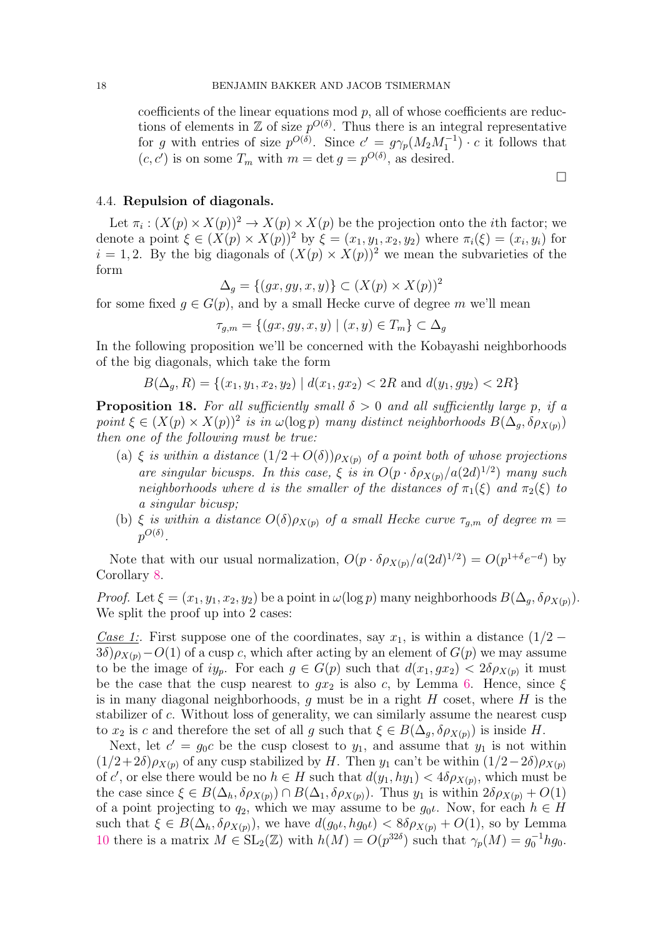coefficients of the linear equations mod  $p$ , all of whose coefficients are reductions of elements in  $\mathbb Z$  of size  $p^{O(\delta)}$ . Thus there is an integral representative for g with entries of size  $p^{O(\delta)}$ . Since  $c' = g\gamma_p(M_2M_1^{-1}) \cdot c$  it follows that  $(c, c')$  is on some  $T_m$  with  $m = \det g = p^{O(\delta)}$ , as desired.

## <span id="page-17-0"></span>4.4. Repulsion of diagonals.

Let  $\pi_i : (X(p) \times X(p))^2 \to X(p) \times X(p)$  be the projection onto the *i*th factor; we denote a point  $\xi \in (X(p) \times X(p))^2$  by  $\xi = (x_1, y_1, x_2, y_2)$  where  $\pi_i(\xi) = (x_i, y_i)$  for  $i = 1, 2$ . By the big diagonals of  $(X(p) \times X(p))^2$  we mean the subvarieties of the form

$$
\Delta_g = \{(gx, gy, x, y)\} \subset (X(p) \times X(p))^2
$$

for some fixed  $g \in G(p)$ , and by a small Hecke curve of degree m we'll mean

$$
\tau_{g,m} = \{(gx, gy, x, y) \mid (x, y) \in T_m\} \subset \Delta_g
$$

In the following proposition we'll be concerned with the Kobayashi neighborhoods of the big diagonals, which take the form

 $B(\Delta_q, R) = \{(x_1, y_1, x_2, y_2) \mid d(x_1, gx_2) < 2R \text{ and } d(y_1, gy_2) < 2R\}$ 

<span id="page-17-1"></span>**Proposition 18.** For all sufficiently small  $\delta > 0$  and all sufficiently large p, if a point  $\xi \in (X(p) \times X(p))^2$  is in  $\omega(\log p)$  many distinct neighborhoods  $B(\Delta_g, \delta \rho_{X(p)})$ then one of the following must be true:

- (a)  $\xi$  is within a distance  $(1/2+O(\delta))\rho_{X(p)}$  of a point both of whose projections are singular bicusps. In this case,  $\xi$  is in  $O(p \cdot \delta \rho_{X(p)}/a(2d)^{1/2})$  many such neighborhoods where d is the smaller of the distances of  $\pi_1(\xi)$  and  $\pi_2(\xi)$  to a singular bicusp;
- (b) ξ is within a distance  $O(\delta) \rho_{X(p)}$  of a small Hecke curve  $\tau_{g,m}$  of degree m =  $p^{O(\delta)}$  .

Note that with our usual normalization,  $O(p \cdot \delta \rho_{X(p)}/a(2d)^{1/2}) = O(p^{1+\delta}e^{-d})$  by Corollary [8.](#page-9-2)

*Proof.* Let  $\xi = (x_1, y_1, x_2, y_2)$  be a point in  $\omega(\log p)$  many neighborhoods  $B(\Delta_q, \delta \rho_{X(p)})$ . We split the proof up into 2 cases:

Case 1:. First suppose one of the coordinates, say  $x_1$ , is within a distance  $(1/2 3\delta$ ) $\rho_{X(p)}$  –  $O(1)$  of a cusp c, which after acting by an element of  $G(p)$  we may assume to be the image of  $iy_p$ . For each  $g \in G(p)$  such that  $d(x_1, gx_2) < 2\delta \rho_{X(p)}$  it must be the case that the cusp nearest to  $gx_2$  is also c, by Lemma [6.](#page-9-3) Hence, since  $\xi$ is in many diagonal neighborhoods, g must be in a right  $H$  coset, where  $H$  is the stabilizer of c. Without loss of generality, we can similarly assume the nearest cusp to  $x_2$  is c and therefore the set of all g such that  $\xi \in B(\Delta_q, \delta \rho_{X(p)})$  is inside H.

Next, let  $c' = g_0 c$  be the cusp closest to  $y_1$ , and assume that  $y_1$  is not within  $(1/2+2\delta)\rho_{X(p)}$  of any cusp stabilized by H. Then  $y_1$  can't be within  $(1/2-2\delta)\rho_{X(p)}$ of c', or else there would be no  $h \in H$  such that  $d(y_1, hy_1) < 4\delta \rho_{X(p)}$ , which must be the case since  $\xi \in B(\Delta_h, \delta \rho_{X(p)}) \cap B(\Delta_1, \delta \rho_{X(p)})$ . Thus  $y_1$  is within  $2 \delta \rho_{X(p)} + O(1)$ of a point projecting to  $q_2$ , which we may assume to be  $g_0\iota$ . Now, for each  $h \in H$ such that  $\xi \in B(\Delta_h, \delta \rho_{X(p)})$ , we have  $d(g_0 \iota, h g_0 \iota) < 8 \delta \rho_{X(p)} + O(1)$ , so by Lemma [10](#page-11-1) there is a matrix  $M \in SL_2(\mathbb{Z})$  with  $h(M) = O(p^{32\delta})$  such that  $\gamma_p(M) = g_0^{-1} h g_0$ .

 $\Box$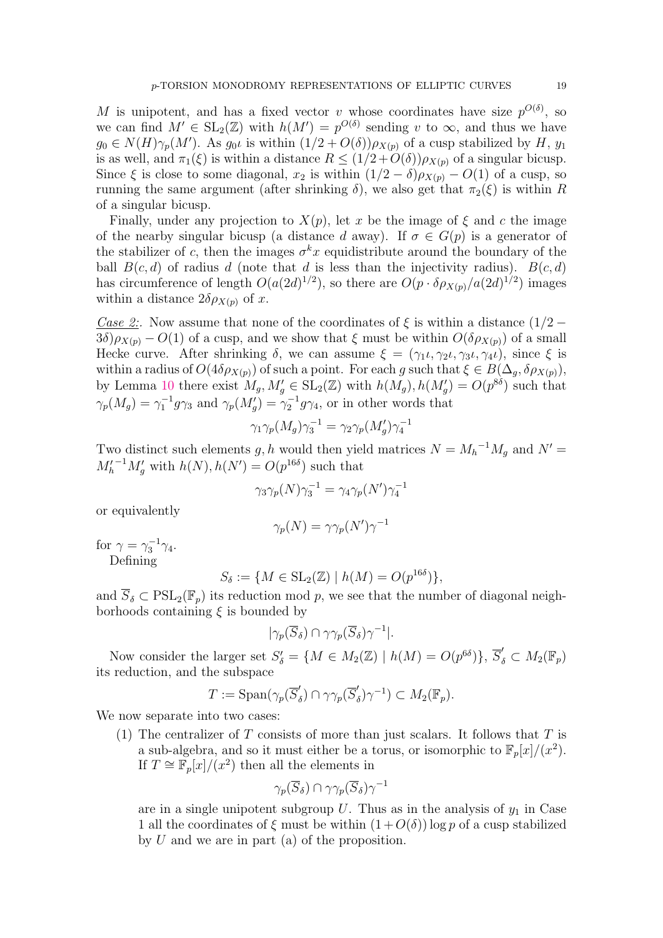M is unipotent, and has a fixed vector v whose coordinates have size  $p^{O(\delta)}$ , so we can find  $M' \in SL_2(\mathbb{Z})$  with  $h(M') = p^{O(\delta)}$  sending v to  $\infty$ , and thus we have  $g_0 \in N(H)\gamma_p(M')$ . As  $g_0\iota$  is within  $(1/2+O(\delta))\rho_{X(p)}$  of a cusp stabilized by H,  $y_1$ is as well, and  $\pi_1(\xi)$  is within a distance  $R \leq (1/2 + O(\delta)) \rho_{X(p)}$  of a singular bicusp. Since  $\xi$  is close to some diagonal,  $x_2$  is within  $(1/2 - \delta)\rho_{X(p)} - O(1)$  of a cusp, so running the same argument (after shrinking  $\delta$ ), we also get that  $\pi_2(\xi)$  is within R of a singular bicusp.

Finally, under any projection to  $X(p)$ , let x be the image of  $\xi$  and c the image of the nearby singular bicusp (a distance d away). If  $\sigma \in G(p)$  is a generator of the stabilizer of c, then the images  $\sigma^k x$  equidistribute around the boundary of the ball  $B(c, d)$  of radius d (note that d is less than the injectivity radius).  $B(c, d)$ has circumference of length  $O(a(2d)^{1/2})$ , so there are  $O(p \cdot \delta \rho_{X(p)}/a(2d)^{1/2})$  images within a distance  $2\delta \rho_{X(p)}$  of x.

Case 2:. Now assume that none of the coordinates of  $\xi$  is within a distance  $(1/2 3\delta \rho_{X(n)} - O(1)$  of a cusp, and we show that  $\xi$  must be within  $O(\delta \rho_{X(n)})$  of a small Hecke curve. After shrinking  $\delta$ , we can assume  $\xi = (\gamma_1 \iota, \gamma_2 \iota, \gamma_3 \iota, \gamma_4 \iota)$ , since  $\xi$  is within a radius of  $O(4\delta \rho_{X(p)})$  of such a point. For each g such that  $\xi \in B(\Delta_g, \delta \rho_{X(p)})$ , by Lemma [10](#page-11-1) there exist  $M_g$ ,  $M'_g \in SL_2(\mathbb{Z})$  with  $h(M_g)$ ,  $h(M'_g) = O(p^{8\delta})$  such that  $\gamma_p(M_g) = \gamma_1^{-1} g \gamma_3$  and  $\gamma_p(M'_g) = \gamma_2^{-1} g \gamma_4$ , or in other words that

$$
\gamma_1\gamma_p(M_g)\gamma_3^{-1}=\gamma_2\gamma_p(M'_g)\gamma_4^{-1}
$$

Two distinct such elements g, h would then yield matrices  $N = M_h^{-1} M_g$  and  $N' =$  $M_h^{\prime^{-1}} M_g^{\prime}$  with  $h(N), h(N^{\prime}) = O(p^{16\delta})$  such that

$$
\gamma_3 \gamma_p(N) \gamma_3^{-1} = \gamma_4 \gamma_p(N') \gamma_4^{-1}
$$

or equivalently

$$
\gamma_p(N)=\gamma\gamma_p(N')\gamma^{-1}
$$

for  $\gamma = \gamma_3^{-1} \gamma_4$ . Defining

$$
S_{\delta} := \{ M \in SL_2(\mathbb{Z}) \mid h(M) = O(p^{16\delta}) \},
$$

and  $\overline{S}_\delta \subset \mathrm{PSL}_2(\mathbb{F}_p)$  its reduction mod p, we see that the number of diagonal neighborhoods containing  $\xi$  is bounded by

$$
|\gamma_p(\overline{S}_{\delta}) \cap \gamma\gamma_p(\overline{S}_{\delta})\gamma^{-1}|.
$$

Now consider the larger set  $S'_{\delta} = \{ M \in M_2(\mathbb{Z}) \mid h(M) = O(p^{6\delta}) \}, \overline{S}'_{\delta} \subset M_2(\mathbb{F}_p)$ its reduction, and the subspace

$$
T := \mathrm{Span}(\gamma_p(\overline{S}'_{\delta}) \cap \gamma\gamma_p(\overline{S}'_{\delta})\gamma^{-1}) \subset M_2(\mathbb{F}_p).
$$

We now separate into two cases:

(1) The centralizer of  $T$  consists of more than just scalars. It follows that  $T$  is a sub-algebra, and so it must either be a torus, or isomorphic to  $\mathbb{F}_p[x]/(x^2)$ . If  $T \cong \mathbb{F}_p[x]/(x^2)$  then all the elements in

$$
\gamma_p(\overline{S}_\delta) \cap \gamma\gamma_p(\overline{S}_\delta)\gamma^{-1}
$$

are in a single unipotent subgroup  $U$ . Thus as in the analysis of  $y_1$  in Case 1 all the coordinates of  $\xi$  must be within  $(1+O(\delta))\log p$  of a cusp stabilized by  $U$  and we are in part (a) of the proposition.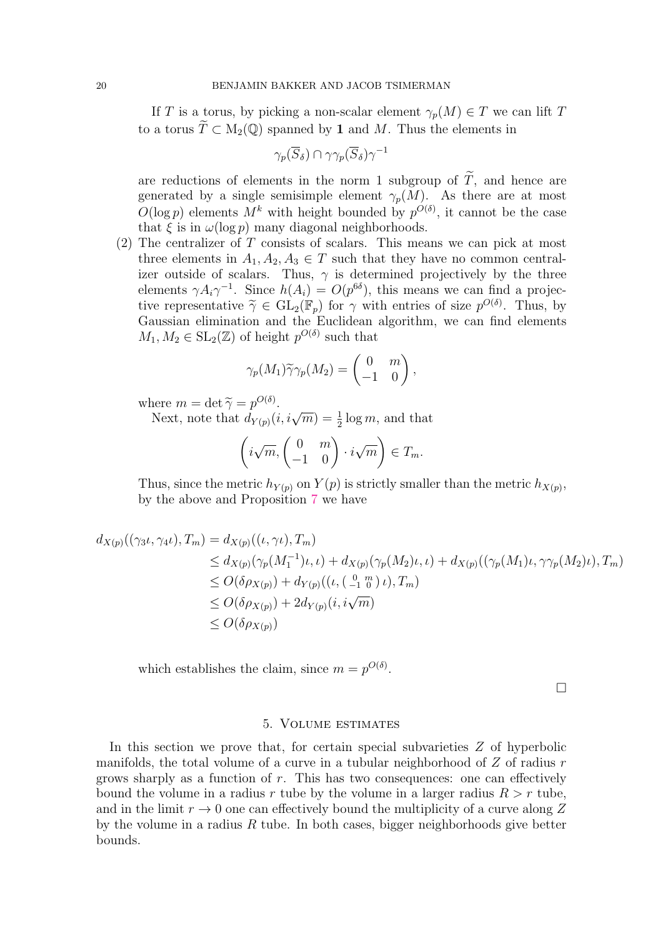If T is a torus, by picking a non-scalar element  $\gamma_p(M) \in T$  we can lift T to a torus  $\widetilde{T} \subset M_2(\mathbb{Q})$  spanned by 1 and M. Thus the elements in

$$
\gamma_p(\overline{S}_\delta) \cap \gamma\gamma_p(\overline{S}_\delta)\gamma^{-1}
$$

are reductions of elements in the norm 1 subgroup of  $\widetilde{T}$ , and hence are generated by a single semisimple element  $\gamma_p(M)$ . As there are at most  $O(\log p)$  elements  $M^k$  with height bounded by  $p^{O(\delta)}$ , it cannot be the case that  $\xi$  is in  $\omega(\log p)$  many diagonal neighborhoods.

 $(2)$  The centralizer of T consists of scalars. This means we can pick at most three elements in  $A_1, A_2, A_3 \in T$  such that they have no common centralizer outside of scalars. Thus,  $\gamma$  is determined projectively by the three elements  $\gamma A_i \gamma^{-1}$ . Since  $h(A_i) = O(p^{6\delta})$ , this means we can find a projective representative  $\tilde{\gamma} \in GL_2(\mathbb{F}_p)$  for  $\gamma$  with entries of size  $p^{O(\delta)}$ . Thus, by<br>Gaussian elimination and the Euclidean algorithm, we can find elements Gaussian elimination and the Euclidean algorithm, we can find elements  $M_1, M_2 \in SL_2(\mathbb{Z})$  of height  $p^{O(\delta)}$  such that

$$
\gamma_p(M_1)\widetilde{\gamma}\gamma_p(M_2) = \begin{pmatrix} 0 & m \\ -1 & 0 \end{pmatrix},
$$

where  $m = \det \tilde{\gamma} = p^{O(\delta)}$ .<br>Novt note that  $d_{\mathcal{U}}(i)$ 

Let  $m = \det \gamma = p^{\dots}$ .<br>Next, note that  $d_{Y(p)}(i, i\sqrt{m}) = \frac{1}{2} \log m$ , and that

$$
\left(i\sqrt{m}, \begin{pmatrix} 0 & m \\ -1 & 0 \end{pmatrix} \cdot i\sqrt{m}\right) \in T_m.
$$

Thus, since the metric  $h_{Y(p)}$  on  $Y(p)$  is strictly smaller than the metric  $h_{X(p)}$ , by the above and Proposition [7](#page-9-1) we have

$$
d_{X(p)}((\gamma_{3}\iota, \gamma_{4}\iota), T_{m}) = d_{X(p)}((\iota, \gamma\iota), T_{m})
$$
  
\n
$$
\leq d_{X(p)}(\gamma_{p}(M_{1}^{-1})\iota, \iota) + d_{X(p)}(\gamma_{p}(M_{2})\iota, \iota) + d_{X(p)}((\gamma_{p}(M_{1})\iota, \gamma\gamma_{p}(M_{2})\iota), T_{m})
$$
  
\n
$$
\leq O(\delta \rho_{X(p)}) + d_{Y(p)}((\iota, (\frac{0}{-1}\binom{m}{0})\iota), T_{m})
$$
  
\n
$$
\leq O(\delta \rho_{X(p)}) + 2d_{Y(p)}(\iota, i\sqrt{m})
$$
  
\n
$$
\leq O(\delta \rho_{X(p)})
$$

which establishes the claim, since  $m = p^{O(\delta)}$ .

 $\Box$ 

### 5. Volume estimates

<span id="page-19-0"></span>In this section we prove that, for certain special subvarieties  $Z$  of hyperbolic manifolds, the total volume of a curve in a tubular neighborhood of  $Z$  of radius  $r$ grows sharply as a function of  $r$ . This has two consequences: one can effectively bound the volume in a radius r tube by the volume in a larger radius  $R > r$  tube, and in the limit  $r \to 0$  one can effectively bound the multiplicity of a curve along Z by the volume in a radius  $R$  tube. In both cases, bigger neighborhoods give better bounds.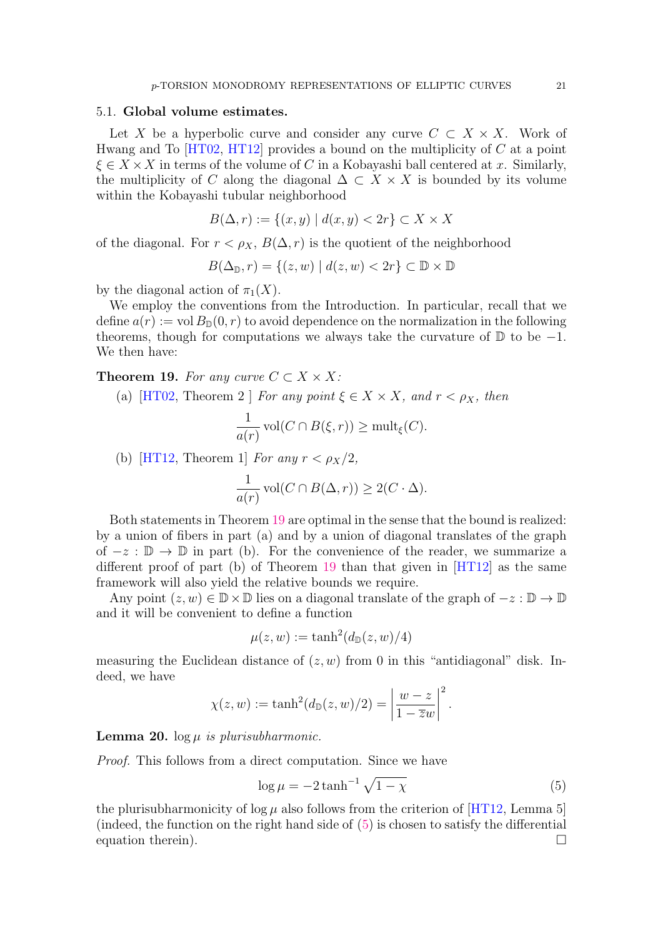#### 5.1. Global volume estimates.

Let X be a hyperbolic curve and consider any curve  $C \subset X \times X$ . Work of Hwang and To  $[HT02, HT12]$  $[HT02, HT12]$  provides a bound on the multiplicity of C at a point  $\xi \in X \times X$  in terms of the volume of C in a Kobayashi ball centered at x. Similarly, the multiplicity of C along the diagonal  $\Delta \subset X \times X$  is bounded by its volume within the Kobayashi tubular neighborhood

$$
B(\Delta, r) := \{(x, y) \mid d(x, y) < 2r\} \subset X \times X
$$

of the diagonal. For  $r < \rho_X$ ,  $B(\Delta, r)$  is the quotient of the neighborhood

$$
B(\Delta_{\mathbb{D}}, r) = \{(z, w) \mid d(z, w) < 2r\} \subset \mathbb{D} \times \mathbb{D}
$$

by the diagonal action of  $\pi_1(X)$ .

We employ the conventions from the Introduction. In particular, recall that we define  $a(r) := \text{vol } B_{\mathbb{D}}(0, r)$  to avoid dependence on the normalization in the following theorems, though for computations we always take the curvature of  $\mathbb D$  to be  $-1$ . We then have:

## <span id="page-20-0"></span>Theorem 19. For any curve  $C \subset X \times X$ :

(a) [\[HT02,](#page-30-6) Theorem 2 ] For any point  $\xi \in X \times X$ , and  $r < \rho_X$ , then

$$
\frac{1}{a(r)} \operatorname{vol}(C \cap B(\xi, r)) \ge \operatorname{mult}_{\xi}(C).
$$

(b) [\[HT12,](#page-30-7) Theorem 1] For any  $r < \rho_X/2$ ,

$$
\frac{1}{a(r)} \operatorname{vol}(C \cap B(\Delta, r)) \ge 2(C \cdot \Delta).
$$

Both statements in Theorem [19](#page-20-0) are optimal in the sense that the bound is realized: by a union of fibers in part (a) and by a union of diagonal translates of the graph of  $-z : \mathbb{D} \to \mathbb{D}$  in part (b). For the convenience of the reader, we summarize a different proof of part (b) of Theorem [19](#page-20-0) than that given in [\[HT12\]](#page-30-7) as the same framework will also yield the relative bounds we require.

Any point  $(z, w) \in \mathbb{D} \times \mathbb{D}$  lies on a diagonal translate of the graph of  $-z : \mathbb{D} \to \mathbb{D}$ and it will be convenient to define a function

$$
\mu(z, w) := \tanh^2(d_{\mathbb{D}}(z, w)/4)
$$

measuring the Euclidean distance of  $(z, w)$  from 0 in this "antidiagonal" disk. Indeed, we have

$$
\chi(z, w) := \tanh^2(d_{\mathbb{D}}(z, w)/2) = \left|\frac{w - z}{1 - \overline{z}w}\right|^2
$$

<span id="page-20-2"></span>**Lemma 20.** log  $\mu$  is plurisubharmonic.

Proof. This follows from a direct computation. Since we have

<span id="page-20-1"></span>
$$
\log \mu = -2 \tanh^{-1} \sqrt{1 - \chi} \tag{5}
$$

.

the plurisubharmonicity of  $\log \mu$  also follows from the criterion of [\[HT12,](#page-30-7) Lemma 5] (indeed, the function on the right hand side of [\(5\)](#page-20-1) is chosen to satisfy the differential equation therein).  $\Box$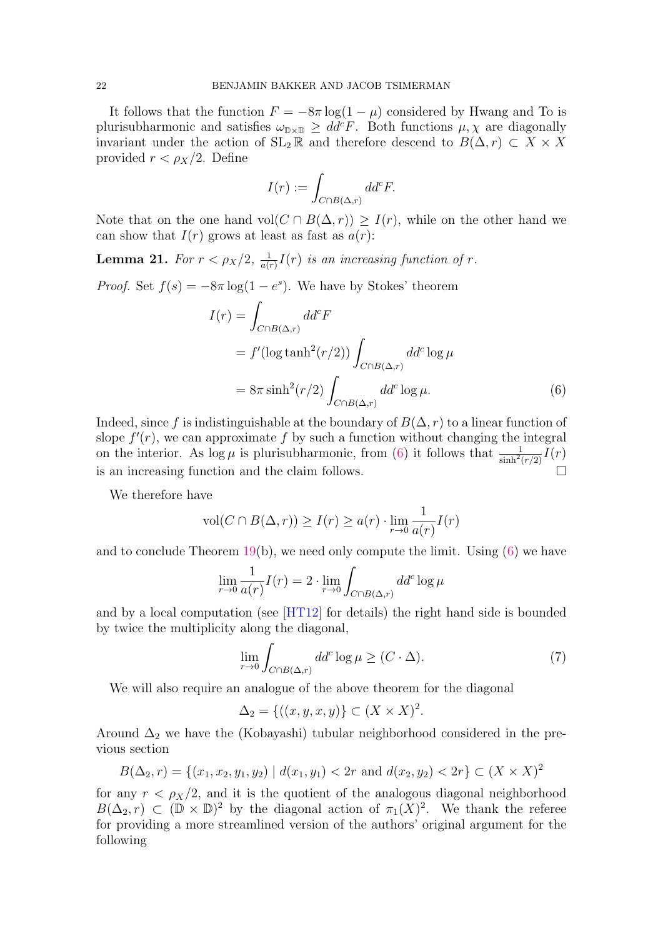It follows that the function  $F = -8\pi \log(1 - \mu)$  considered by Hwang and To is plurisubharmonic and satisfies  $\omega_{\mathbb{D}\times\mathbb{D}} \geq dd^c F$ . Both functions  $\mu, \chi$  are diagonally invariant under the action of  $SL_2 \mathbb{R}$  and therefore descend to  $B(\Delta, r) \subset X \times X$ provided  $r < \rho_X/2$ . Define

<span id="page-21-0"></span>
$$
I(r) := \int_{C \cap B(\Delta, r)} dd^c F.
$$

Note that on the one hand vol $(C \cap B(\Delta, r)) \geq I(r)$ , while on the other hand we can show that  $I(r)$  grows at least as fast as  $a(r)$ :

<span id="page-21-1"></span>**Lemma 21.** For  $r < \rho_X/2$ ,  $\frac{1}{a(t)}$  $\frac{1}{a(r)}I(r)$  is an increasing function of r.

*Proof.* Set  $f(s) = -8\pi \log(1 - e^s)$ . We have by Stokes' theorem

$$
I(r) = \int_{C \cap B(\Delta,r)} dd^c F
$$
  
=  $f'(\log \tanh^2(r/2)) \int_{C \cap B(\Delta,r)} dd^c \log \mu$   
=  $8\pi \sinh^2(r/2) \int_{C \cap B(\Delta,r)} dd^c \log \mu$ . (6)

Indeed, since f is indistinguishable at the boundary of  $B(\Delta, r)$  to a linear function of slope  $f'(r)$ , we can approximate f by such a function without changing the integral on the interior. As  $\log \mu$  is plurisubharmonic, from [\(6\)](#page-21-0) it follows that  $\frac{1}{\sinh^2(r/2)}I(r)$ is an increasing function and the claim follows.

We therefore have

$$
\text{vol}(C \cap B(\Delta, r)) \ge I(r) \ge a(r) \cdot \lim_{r \to 0} \frac{1}{a(r)} I(r)
$$

and to conclude Theorem [19\(](#page-20-0)b), we need only compute the limit. Using  $(6)$  we have

$$
\lim_{r \to 0} \frac{1}{a(r)} I(r) = 2 \cdot \lim_{r \to 0} \int_{C \cap B(\Delta, r)} dd^c \log \mu
$$

and by a local computation (see [\[HT12\]](#page-30-7) for details) the right hand side is bounded by twice the multiplicity along the diagonal,

$$
\lim_{r \to 0} \int_{C \cap B(\Delta, r)} dd^c \log \mu \ge (C \cdot \Delta). \tag{7}
$$

We will also require an analogue of the above theorem for the diagonal

$$
\Delta_2 = \{((x, y, x, y))\} \subset (X \times X)^2.
$$

Around  $\Delta_2$  we have the (Kobayashi) tubular neighborhood considered in the previous section

$$
B(\Delta_2, r) = \{(x_1, x_2, y_1, y_2) \mid d(x_1, y_1) < 2r \text{ and } d(x_2, y_2) < 2r\} \subset (X \times X)^2
$$

for any  $r < \rho_X/2$ , and it is the quotient of the analogous diagonal neighborhood  $B(\Delta_2, r) \subset (\mathbb{D} \times \mathbb{D})^2$  by the diagonal action of  $\pi_1(X)^2$ . We thank the referee for providing a more streamlined version of the authors' original argument for the following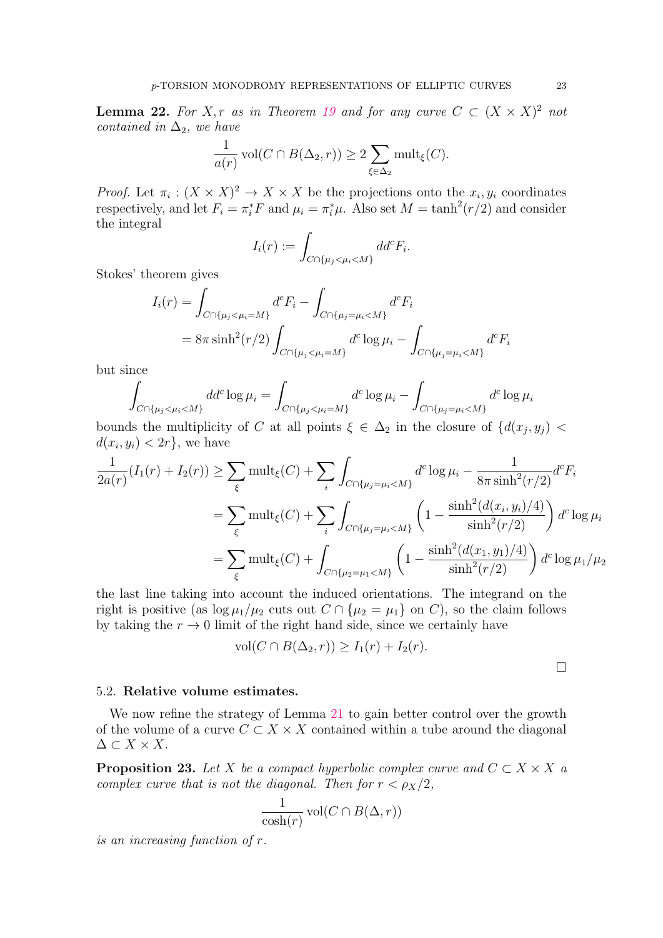<span id="page-22-1"></span>**Lemma 22.** For X, r as in Theorem [19](#page-20-0) and for any curve  $C \subset (X \times X)^2$  not contained in  $\Delta_2$ , we have

$$
\frac{1}{a(r)}\operatorname{vol}(C \cap B(\Delta_2, r)) \ge 2\sum_{\xi \in \Delta_2} \operatorname{mult}_{\xi}(C).
$$

*Proof.* Let  $\pi_i : (X \times X)^2 \to X \times X$  be the projections onto the  $x_i, y_i$  coordinates respectively, and let  $F_i = \pi_i^* F$  and  $\mu_i = \pi_i^* \mu$ . Also set  $M = \tanh^2(r/2)$  and consider the integral

$$
I_i(r) := \int_{C \cap \{\mu_j < \mu_i < M\}} dd^c F_i.
$$

Stokes' theorem gives

$$
I_i(r) = \int_{C \cap \{\mu_j < \mu_i = M\}} d^c F_i - \int_{C \cap \{\mu_j = \mu_i < M\}} d^c F_i
$$
\n
$$
= 8\pi \sinh^2(r/2) \int_{C \cap \{\mu_j < \mu_i = M\}} d^c \log \mu_i - \int_{C \cap \{\mu_j = \mu_i < M\}} d^c F_i
$$

but since

$$
\int_{C \cap \{\mu_j < \mu_i < M\}} dd^c \log \mu_i = \int_{C \cap \{\mu_j < \mu_i = M\}} d^c \log \mu_i - \int_{C \cap \{\mu_j = \mu_i < M\}} d^c \log \mu_i
$$

bounds the multiplicity of C at all points  $\xi \in \Delta_2$  in the closure of  $\{d(x_j, y_j)$  $d(x_i, y_i) < 2r$ , we have

$$
\frac{1}{2a(r)}(I_1(r) + I_2(r)) \ge \sum_{\xi} \text{mult}_{\xi}(C) + \sum_{i} \int_{C \cap \{\mu_j = \mu_i < M\}} d^c \log \mu_i - \frac{1}{8\pi \sinh^2(r/2)} d^c F_i
$$
\n
$$
= \sum_{\xi} \text{mult}_{\xi}(C) + \sum_{i} \int_{C \cap \{\mu_j = \mu_i < M\}} \left(1 - \frac{\sinh^2(d(x_i, y_i)/4)}{\sinh^2(r/2)}\right) d^c \log \mu_i
$$
\n
$$
= \sum_{\xi} \text{mult}_{\xi}(C) + \int_{C \cap \{\mu_2 = \mu_1 < M\}} \left(1 - \frac{\sinh^2(d(x_1, y_1)/4)}{\sinh^2(r/2)}\right) d^c \log \mu_1/\mu_2
$$

the last line taking into account the induced orientations. The integrand on the right is positive (as  $\log \mu_1/\mu_2$  cuts out  $C \cap {\mu_2 = \mu_1}$  on C), so the claim follows by taking the  $r \to 0$  limit of the right hand side, since we certainly have

$$
\text{vol}(C \cap B(\Delta_2, r)) \ge I_1(r) + I_2(r).
$$

 $\Box$ 

### 5.2. Relative volume estimates.

We now refine the strategy of Lemma [21](#page-21-1) to gain better control over the growth of the volume of a curve  $C \subset X \times X$  contained within a tube around the diagonal  $\Delta \subset X \times X$ .

<span id="page-22-0"></span>**Proposition 23.** Let X be a compact hyperbolic complex curve and  $C \subset X \times X$  a complex curve that is not the diagonal. Then for  $r < \rho_X/2$ ,

$$
\frac{1}{\cosh(r)}\operatorname{vol}(C\cap B(\Delta,r))
$$

is an increasing function of r.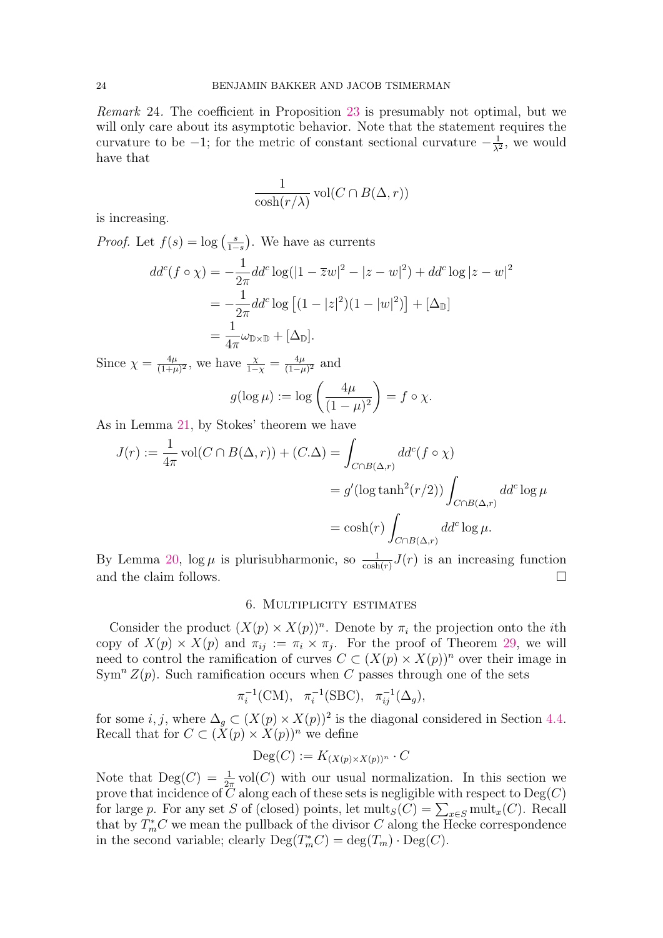Remark 24. The coefficient in Proposition [23](#page-22-0) is presumably not optimal, but we will only care about its asymptotic behavior. Note that the statement requires the curvature to be  $-1$ ; for the metric of constant sectional curvature  $-\frac{1}{2}$  $\frac{1}{\lambda^2}$ , we would have that

$$
\frac{1}{\cosh(r/\lambda)}\operatorname{vol}(C\cap B(\Delta,r))
$$

is increasing.

*Proof.* Let  $f(s) = \log \left( \frac{s}{1-s} \right)$  $\frac{s}{1-s}$ ). We have as currents  $dd^c(f \circ \chi) = -\frac{1}{2}$  $2\pi$  $dd^c \log(|1-\overline{z}w|^2 - |z-w|^2) + dd^c \log|z-w|^2$  $=-\frac{1}{2}$  $2\pi$  $dd^c \log [(1-|z|^2)(1-|w|^2)] + [\Delta_{\mathbb{D}}]$ = 1  $\frac{1}{4\pi}\omega_{\mathbb{D}\times\mathbb{D}}+[\Delta_{\mathbb{D}}].$ 

Since  $\chi = \frac{4\mu}{(1+\mu)}$  $\frac{4\mu}{(1+\mu)^2}$ , we have  $\frac{\chi}{1-\chi} = \frac{4\mu}{(1-\mu)^2}$  $\frac{4\mu}{(1-\mu)^2}$  and

$$
g(\log \mu) := \log \left( \frac{4\mu}{(1-\mu)^2} \right) = f \circ \chi.
$$

As in Lemma [21,](#page-21-1) by Stokes' theorem we have

$$
J(r) := \frac{1}{4\pi} \operatorname{vol}(C \cap B(\Delta, r)) + (C.\Delta) = \int_{C \cap B(\Delta, r)} dd^c(f \circ \chi)
$$
  
=  $g'(\log \tanh^2(r/2)) \int_{C \cap B(\Delta, r)} dd^c \log \mu$   
=  $\cosh(r) \int_{C \cap B(\Delta, r)} dd^c \log \mu$ .

By Lemma [20,](#page-20-2)  $\log \mu$  is plurisubharmonic, so  $\frac{1}{\cosh(r)} J(r)$  is an increasing function and the claim follows.

## 6. Multiplicity estimates

<span id="page-23-0"></span>Consider the product  $(X(p) \times X(p))^n$ . Denote by  $\pi_i$  the projection onto the *i*th copy of  $X(p) \times X(p)$  and  $\pi_{ij} := \pi_i \times \pi_j$ . For the proof of Theorem [29,](#page-28-0) we will need to control the ramification of curves  $C \subset (X(p) \times X(p))^n$  over their image in  $Sym<sup>n</sup> Z(p)$ . Such ramification occurs when C passes through one of the sets

$$
\pi_i^{-1}(CM), \quad \pi_i^{-1}(SBC), \quad \pi_{ij}^{-1}(\Delta_g),
$$

for some *i*, *j*, where  $\Delta_g \subset (X(p) \times X(p))^2$  is the diagonal considered in Section [4.4.](#page-17-0) Recall that for  $C \subset (X(p) \times X(p))^n$  we define

$$
\mathrm{Deg}(C) := K_{(X(p)\times X(p))^n} \cdot C
$$

Note that  $\text{Deg}(C) = \frac{1}{2\pi} \text{vol}(C)$  with our usual normalization. In this section we prove that incidence of  $C$  along each of these sets is negligible with respect to  $\mathrm{Deg}(C)$ for large p. For any set S of (closed) points, let  $\text{mult}_S(C) = \sum_{x \in S} \text{mult}_x(C)$ . Recall that by  $T_m^*C$  we mean the pullback of the divisor C along the Hecke correspondence in the second variable; clearly  $\text{Deg}(T^*_mC) = \text{deg}(T_m) \cdot \text{Deg}(C)$ .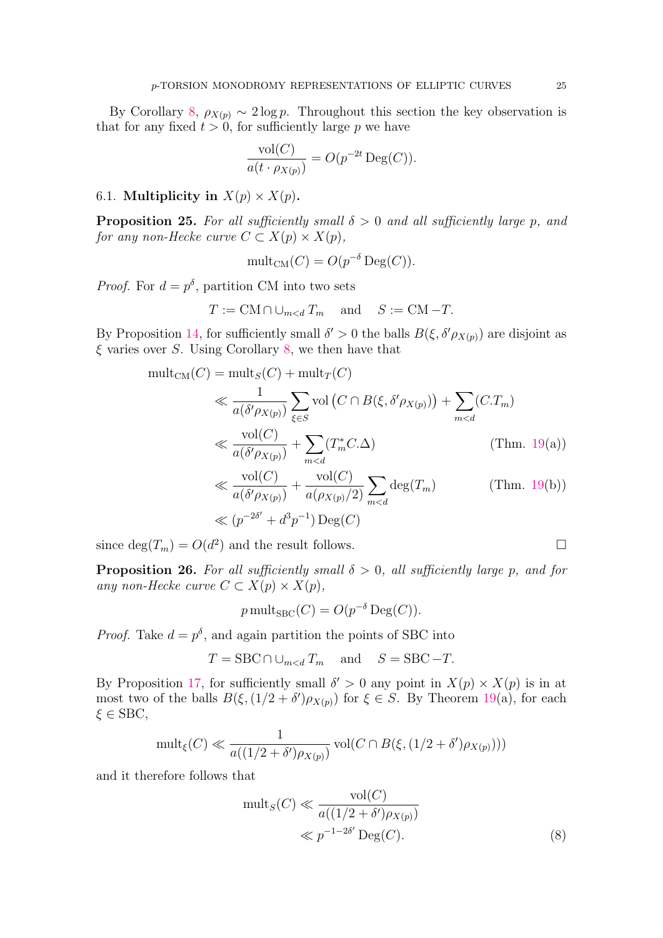By Corollary [8,](#page-9-2)  $\rho_{X(p)} \sim 2 \log p$ . Throughout this section the key observation is that for any fixed  $t > 0$ , for sufficiently large p we have

$$
\frac{\text{vol}(C)}{a(t \cdot \rho_{X(p)})} = O(p^{-2t} \text{Deg}(C)).
$$

# 6.1. Multiplicity in  $X(p) \times X(p)$ .

<span id="page-24-2"></span>**Proposition 25.** For all sufficiently small  $\delta > 0$  and all sufficiently large p, and for any non-Hecke curve  $C \subset X(p) \times X(p)$ ,

$$
\mathrm{mult}_{\mathrm{CM}}(C) = O(p^{-\delta} \mathrm{Deg}(C)).
$$

*Proof.* For  $d = p^{\delta}$ , partition CM into two sets

$$
T := \text{CM} \cap \cup_{m < d} T_m \quad \text{and} \quad S := \text{CM} - T.
$$

By Proposition [14,](#page-14-0) for sufficiently small  $\delta' > 0$  the balls  $B(\xi, \delta' \rho_{X(p)})$  are disjoint as  $\xi$  varies over S. Using Corollary [8,](#page-9-2) we then have that

$$
\text{mult}_{\text{CM}}(C) = \text{mult}_{S}(C) + \text{mult}_{T}(C)
$$
\n
$$
\ll \frac{1}{a(\delta' \rho_{X(p)})} \sum_{\xi \in S} \text{vol}(C \cap B(\xi, \delta' \rho_{X(p)})) + \sum_{m < d} (C \cdot T_m)
$$
\n
$$
\ll \frac{\text{vol}(C)}{a(\delta' \rho_{X(p)})} + \sum_{m < d} (T_m^* C \cdot \Delta) \qquad (\text{Thm. 19(a))}
$$
\n
$$
\ll \frac{\text{vol}(C)}{a(\delta' \rho_{X(p)})} + \frac{\text{vol}(C)}{a(\rho_{X(p)}/2)} \sum_{m < d} \text{deg}(T_m) \qquad (\text{Thm. 19(b))}
$$
\n
$$
\ll (p^{-2\delta'} + d^3 p^{-1}) \text{Deg}(C)
$$

since  $deg(T_m) = O(d^2)$  and the result follows.

<span id="page-24-1"></span>**Proposition 26.** For all sufficiently small  $\delta > 0$ , all sufficiently large p, and for any non-Hecke curve  $C \subset X(p) \times X(p)$ ,

$$
p \text{ mult}_{\text{SBC}}(C) = O(p^{-\delta} \text{Deg}(C)).
$$

*Proof.* Take  $d = p^{\delta}$ , and again partition the points of SBC into

$$
T = \text{SBC} \cap \cup_{m < d} T_m \quad \text{and} \quad S = \text{SBC} - T.
$$

By Proposition [17,](#page-16-0) for sufficiently small  $\delta' > 0$  any point in  $X(p) \times X(p)$  is in at most two of the balls  $B(\xi, (1/2 + \delta')\rho_{X(p)})$  for  $\xi \in S$ . By Theorem [19\(](#page-20-0)a), for each  $\xi \in \text{SBC}$ ,

$$
\text{mult}_{\xi}(C) \ll \frac{1}{a((1/2+\delta')\rho_{X(p)})} \text{vol}(C \cap B(\xi, (1/2+\delta')\rho_{X(p)})))
$$

and it therefore follows that

$$
\text{mult}_S(C) \ll \frac{\text{vol}(C)}{a((1/2 + \delta')\rho_{X(p)})} \ll p^{-1-2\delta'} \text{Deg}(C). \tag{8}
$$

<span id="page-24-0"></span>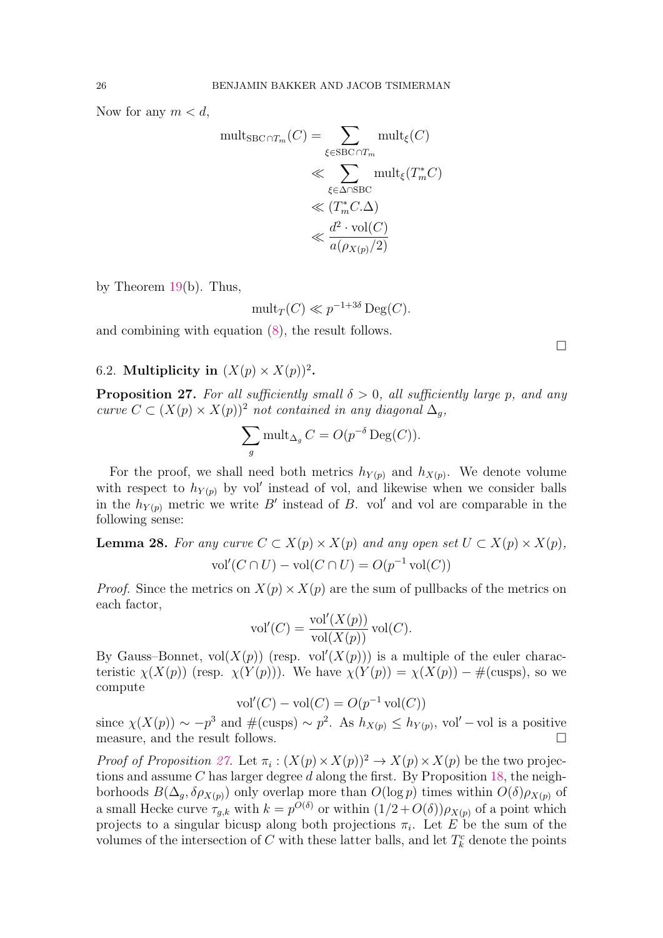Now for any  $m < d$ ,

$$
\text{mult}_{\text{SBC}\cap T_m}(C) = \sum_{\xi \in \text{SBC}\cap T_m} \text{mult}_{\xi}(C)
$$

$$
\ll \sum_{\xi \in \Delta \cap \text{SBC}} \text{mult}_{\xi}(T_m^*C)
$$

$$
\ll (T_m^*C.\Delta)
$$

$$
\ll \frac{d^2 \cdot \text{vol}(C)}{a(\rho_{X(p)}/2)}
$$

by Theorem [19\(](#page-20-0)b). Thus,

$$
\mathrm{mult}_{T}(C) \ll p^{-1+3\delta} \mathrm{Deg}(C).
$$

and combining with equation [\(8\)](#page-24-0), the result follows.

# 6.2. Multiplicity in  $(X(p) \times X(p))^2$ .

<span id="page-25-0"></span>**Proposition 27.** For all sufficiently small  $\delta > 0$ , all sufficiently large p, and any curve  $C \subset (X(p) \times X(p))^2$  not contained in any diagonal  $\Delta_q$ ,

$$
\sum_{g} \text{mult}_{\Delta_g} C = O(p^{-\delta} \text{Deg}(C)).
$$

For the proof, we shall need both metrics  $h_{Y(p)}$  and  $h_{X(p)}$ . We denote volume with respect to  $h_{Y(p)}$  by vol' instead of vol, and likewise when we consider balls in the  $h_{Y(p)}$  metric we write B' instead of B. vol' and vol are comparable in the following sense:

<span id="page-25-1"></span>**Lemma 28.** For any curve  $C \subset X(p) \times X(p)$  and any open set  $U \subset X(p) \times X(p)$ , vol' $(C \cap U)$  – vol $(C \cap U) = O(p^{-1} \text{vol}(C))$ 

*Proof.* Since the metrics on  $X(p) \times X(p)$  are the sum of pullbacks of the metrics on each factor,

$$
\text{vol}'(C) = \frac{\text{vol}'(X(p))}{\text{vol}(X(p))} \text{vol}(C).
$$

By Gauss–Bonnet,  $vol(X(p))$  (resp.  $vol'(X(p))$ ) is a multiple of the euler characteristic  $\chi(X(p))$  (resp.  $\chi(Y(p))$ ). We have  $\chi(Y(p)) = \chi(X(p)) - \#(\text{cusps})$ , so we compute

$$
\text{vol}'(C) - \text{vol}(C) = O(p^{-1}\,\text{vol}(C))
$$

since  $\chi(X(p)) \sim -p^3$  and  $\#(\text{cusps}) \sim p^2$ . As  $h_{X(p)} \leq h_{Y(p)}$ , vol' – vol is a positive measure, and the result follows.  $\Box$ 

*Proof of Proposition [27.](#page-25-0)* Let  $\pi_i : (X(p) \times X(p))^2 \to X(p) \times X(p)$  be the two projections and assume C has larger degree d along the first. By Proposition [18,](#page-17-1) the neighborhoods  $B(\Delta_g, \delta \rho_{X(p)})$  only overlap more than  $O(\log p)$  times within  $O(\delta) \rho_{X(p)}$  of a small Hecke curve  $\tau_{g,k}$  with  $k = p^{O(\delta)}$  or within  $(1/2 + O(\delta)) \rho_{X(p)}$  of a point which projects to a singular bicusp along both projections  $\pi_i$ . Let E be the sum of the volumes of the intersection of  $C$  with these latter balls, and let  $T_k^c$  denote the points

 $\Box$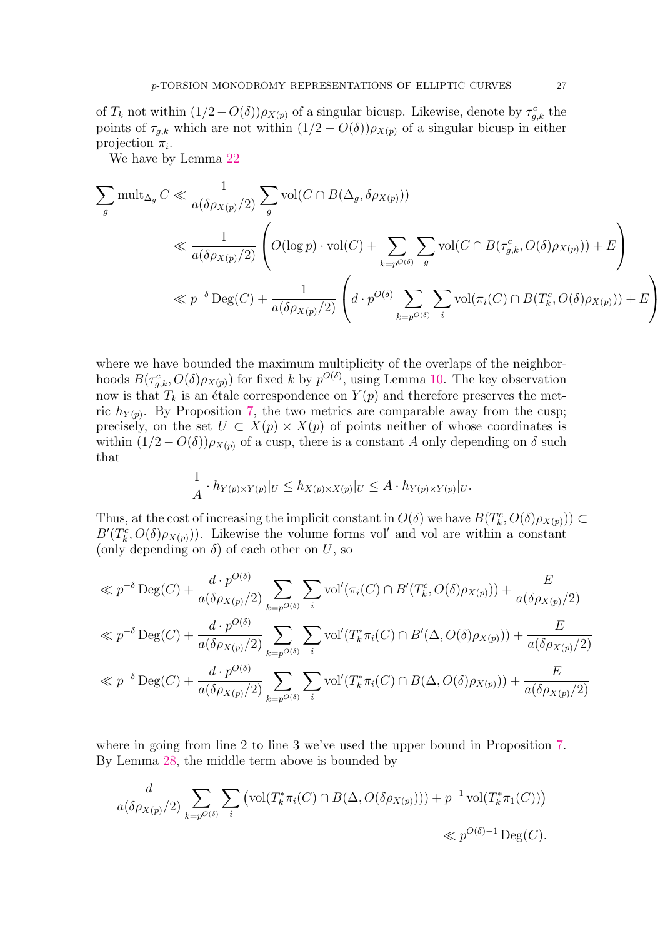of  $T_k$  not within  $(1/2 - O(\delta)) \rho_{X(p)}$  of a singular bicusp. Likewise, denote by  $\tau_{g,k}^c$  the points of  $\tau_{q,k}$  which are not within  $(1/2 - O(\delta)) \rho_{X(p)}$  of a singular bicusp in either projection  $\pi_i$ .

We have by Lemma [22](#page-22-1)

$$
\sum_{g} \text{mult}_{\Delta_g} C \ll \frac{1}{a(\delta \rho_{X(p)}/2)} \sum_{g} \text{vol}(C \cap B(\Delta_g, \delta \rho_{X(p)}))
$$
\n
$$
\ll \frac{1}{a(\delta \rho_{X(p)}/2)} \left( O(\log p) \cdot \text{vol}(C) + \sum_{k=p^{O(\delta)}} \sum_{g} \text{vol}(C \cap B(\tau_{g,k}^c, O(\delta) \rho_{X(p)})) + E \right)
$$
\n
$$
\ll p^{-\delta} \text{Deg}(C) + \frac{1}{a(\delta \rho_{X(p)}/2)} \left( d \cdot p^{O(\delta)} \sum_{k=p^{O(\delta)}} \sum_{i} \text{vol}(\pi_i(C) \cap B(T_k^c, O(\delta) \rho_{X(p)})) + E \right)
$$

where we have bounded the maximum multiplicity of the overlaps of the neighborhoods  $B(\tau_{g,k}^c, O(\delta)\rho_{X(p)})$  for fixed k by  $p^{O(\delta)}$ , using Lemma [10.](#page-11-1) The key observation now is that  $T_k$  is an étale correspondence on  $Y(p)$  and therefore preserves the metric  $h_{Y(p)}$ . By Proposition [7,](#page-9-1) the two metrics are comparable away from the cusp; precisely, on the set  $U \subset X(p) \times X(p)$  of points neither of whose coordinates is within  $(1/2 - O(\delta))\rho_{X(p)}$  of a cusp, there is a constant A only depending on  $\delta$  such that

$$
\frac{1}{A} \cdot h_{Y(p) \times Y(p)}|_{U} \leq h_{X(p) \times X(p)}|_{U} \leq A \cdot h_{Y(p) \times Y(p)}|_{U}.
$$

Thus, at the cost of increasing the implicit constant in  $O(\delta)$  we have  $B(T_k^c, O(\delta)\rho_{X(p)})\subset$  $B'(T_k^c, O(\delta)\rho_{X(p)})$ . Likewise the volume forms vol' and vol are within a constant (only depending on  $\delta$ ) of each other on U, so

$$
\ll p^{-\delta} \operatorname{Deg}(C) + \frac{d \cdot p^{O(\delta)}}{a(\delta \rho_{X(p)}/2)} \sum_{k=p^{O(\delta)}} \sum_{i} \operatorname{vol}'(\pi_i(C) \cap B'(T_k^c, O(\delta) \rho_{X(p)})) + \frac{E}{a(\delta \rho_{X(p)}/2)}
$$
  

$$
\ll p^{-\delta} \operatorname{Deg}(C) + \frac{d \cdot p^{O(\delta)}}{a(\delta \rho_{X(p)}/2)} \sum_{k=p^{O(\delta)}} \sum_{i} \operatorname{vol}'(T_k^* \pi_i(C) \cap B'(\Delta, O(\delta) \rho_{X(p)})) + \frac{E}{a(\delta \rho_{X(p)}/2)}
$$
  

$$
\ll p^{-\delta} \operatorname{Deg}(C) + \frac{d \cdot p^{O(\delta)}}{a(\delta \rho_{X(p)}/2)} \sum_{k=p^{O(\delta)}} \sum_{i} \operatorname{vol}'(T_k^* \pi_i(C) \cap B(\Delta, O(\delta) \rho_{X(p)})) + \frac{E}{a(\delta \rho_{X(p)}/2)}
$$

where in going from line 2 to line 3 we've used the upper bound in Proposition [7.](#page-9-1) By Lemma [28,](#page-25-1) the middle term above is bounded by

$$
\frac{d}{a(\delta \rho_{X(p)}/2)} \sum_{k=p^{O(\delta)}} \sum_{i} \left( \text{vol}(T_k^* \pi_i(C) \cap B(\Delta, O(\delta \rho_{X(p)}))) + p^{-1} \text{vol}(T_k^* \pi_1(C)) \right) \ll p^{O(\delta)-1} \text{Deg}(C).
$$

 $\setminus$ 

 $\overline{1}$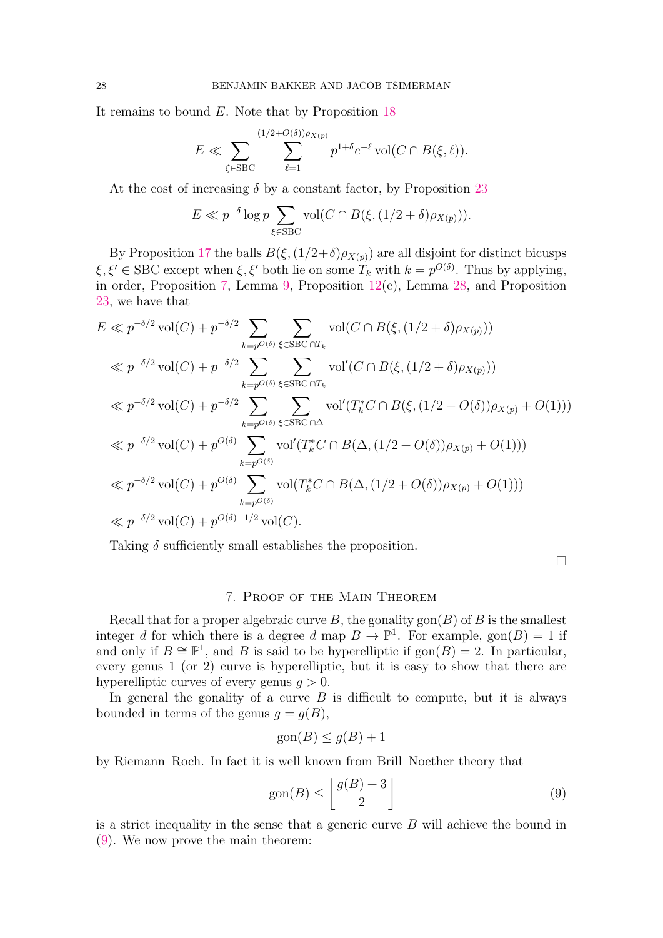It remains to bound  $E$ . Note that by Proposition [18](#page-17-1)

$$
E \ll \sum_{\xi \in \text{SBC}} \sum_{\ell=1}^{(1/2+O(\delta))\rho_{X(p)}} p^{1+\delta} e^{-\ell} \operatorname{vol}(C \cap B(\xi, \ell)).
$$

At the cost of increasing  $\delta$  by a constant factor, by Proposition [23](#page-22-0)

$$
E \ll p^{-\delta} \log p \sum_{\xi \in \text{SBC}} \text{vol}(C \cap B(\xi, (1/2 + \delta) \rho_{X(p)})).
$$

By Proposition [17](#page-16-0) the balls  $B(\xi,(1/2+\delta)\rho_{X(p)})$  are all disjoint for distinct bicusps  $\xi, \xi' \in \text{SBC except when } \xi, \xi'$  both lie on some  $T_k$  with  $k = p^{O(\delta)}$ . Thus by applying, in order, Proposition [7,](#page-9-1) Lemma [9,](#page-10-2) Proposition [12\(](#page-12-2)c), Lemma [28,](#page-25-1) and Proposition [23,](#page-22-0) we have that

$$
E \ll p^{-\delta/2} \operatorname{vol}(C) + p^{-\delta/2} \sum_{k=p^{O(\delta)}} \sum_{\xi \in \text{SBC} \cap T_k} \operatorname{vol}(C \cap B(\xi, (1/2 + \delta)\rho_{X(p)}))
$$
  
\n
$$
\ll p^{-\delta/2} \operatorname{vol}(C) + p^{-\delta/2} \sum_{k=p^{O(\delta)}} \sum_{\xi \in \text{SBC} \cap T_k} \operatorname{vol}'(C \cap B(\xi, (1/2 + \delta)\rho_{X(p)}))
$$
  
\n
$$
\ll p^{-\delta/2} \operatorname{vol}(C) + p^{-\delta/2} \sum_{k=p^{O(\delta)}} \sum_{\xi \in \text{SBC} \cap \Delta} \operatorname{vol}'(T_k^* C \cap B(\xi, (1/2 + O(\delta))\rho_{X(p)} + O(1)))
$$
  
\n
$$
\ll p^{-\delta/2} \operatorname{vol}(C) + p^{O(\delta)} \sum_{k=p^{O(\delta)}} \operatorname{vol}'(T_k^* C \cap B(\Delta, (1/2 + O(\delta))\rho_{X(p)} + O(1)))
$$
  
\n
$$
\ll p^{-\delta/2} \operatorname{vol}(C) + p^{O(\delta)} \sum_{k=p^{O(\delta)}} \operatorname{vol}(T_k^* C \cap B(\Delta, (1/2 + O(\delta))\rho_{X(p)} + O(1)))
$$
  
\n
$$
\ll p^{-\delta/2} \operatorname{vol}(C) + p^{O(\delta)-1/2} \operatorname{vol}(C).
$$

Taking  $\delta$  sufficiently small establishes the proposition.

 $\Box$ 

### 7. Proof of the Main Theorem

<span id="page-27-0"></span>Recall that for a proper algebraic curve B, the gonality gon( $B$ ) of B is the smallest integer d for which there is a degree d map  $B \to \mathbb{P}^1$ . For example,  $\text{gon}(B) = 1$  if and only if  $B \cong \mathbb{P}^1$ , and B is said to be hyperelliptic if  $\text{gon}(B) = 2$ . In particular, every genus 1 (or 2) curve is hyperelliptic, but it is easy to show that there are hyperelliptic curves of every genus  $q > 0$ .

In general the gonality of a curve  $B$  is difficult to compute, but it is always bounded in terms of the genus  $g = g(B)$ ,

$$
gon(B) \le g(B) + 1
$$

by Riemann–Roch. In fact it is well known from Brill–Noether theory that

<span id="page-27-1"></span>
$$
\text{gon}(B) \le \left\lfloor \frac{g(B) + 3}{2} \right\rfloor \tag{9}
$$

is a strict inequality in the sense that a generic curve  $B$  will achieve the bound in [\(9\)](#page-27-1). We now prove the main theorem: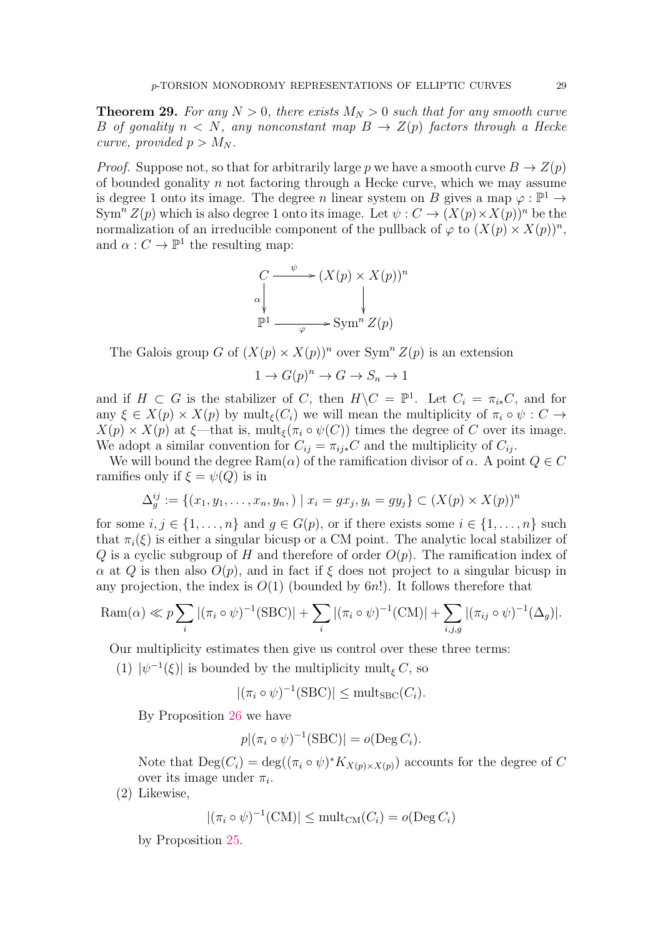<span id="page-28-0"></span>**Theorem 29.** For any  $N > 0$ , there exists  $M_N > 0$  such that for any smooth curve B of gonality  $n < N$ , any nonconstant map  $B \to Z(p)$  factors through a Hecke curve, provided  $p > M_N$ .

*Proof.* Suppose not, so that for arbitrarily large p we have a smooth curve  $B \to Z(p)$ of bounded gonality  $n$  not factoring through a Hecke curve, which we may assume is degree 1 onto its image. The degree n linear system on B gives a map  $\varphi : \mathbb{P}^1 \to$ Sym<sup>n</sup>  $Z(p)$  which is also degree 1 onto its image. Let  $\psi : C \to (X(p) \times X(p))^n$  be the normalization of an irreducible component of the pullback of  $\varphi$  to  $(X(p) \times X(p))^n$ , and  $\alpha: C \to \mathbb{P}^1$  the resulting map:

$$
C \xrightarrow{\psi} (X(p) \times X(p))^n
$$
  
\n
$$
\downarrow^{\alpha} \qquad \qquad \downarrow^{\alpha}
$$
  
\n
$$
\mathbb{P}^1 \xrightarrow{\varphi} \text{Sym}^n Z(p)
$$

The Galois group G of  $(X(p) \times X(p))^n$  over  $Sym^n Z(p)$  is an extension

 $1 \to G(p)^n \to G \to S_n \to 1$ 

and if  $H \subset G$  is the stabilizer of C, then  $H \backslash C = \mathbb{P}^1$ . Let  $C_i = \pi_{i*}C$ , and for any  $\xi \in X(p) \times X(p)$  by mult<sub> $\xi$ </sub> $(C_i)$  we will mean the multiplicity of  $\pi_i \circ \psi : C \to$  $X(p) \times X(p)$  at  $\xi$ —that is, mult<sub> $\xi$ </sub>  $(\pi_i \circ \psi(C))$  times the degree of C over its image. We adopt a similar convention for  $C_{ij} = \pi_{ij} * C$  and the multiplicity of  $C_{ij}$ .

We will bound the degree  $\text{Ram}(\alpha)$  of the ramification divisor of  $\alpha$ . A point  $Q \in \mathbb{C}$ ramifies only if  $\xi = \psi(Q)$  is in

$$
\Delta_g^{ij} := \{(x_1, y_1, \dots, x_n, y_n, ) \mid x_i = gx_j, y_i = gy_j\} \subset (X(p) \times X(p))^n
$$

for some  $i, j \in \{1, \ldots, n\}$  and  $g \in G(p)$ , or if there exists some  $i \in \{1, \ldots, n\}$  such that  $\pi_i(\xi)$  is either a singular bicusp or a CM point. The analytic local stabilizer of Q is a cyclic subgroup of H and therefore of order  $O(p)$ . The ramification index of  $\alpha$  at Q is then also  $O(p)$ , and in fact if  $\xi$  does not project to a singular bicusp in any projection, the index is  $O(1)$  (bounded by 6n!). It follows therefore that

$$
\text{Ram}(\alpha) \ll p \sum_{i} |(\pi_i \circ \psi)^{-1}(\text{SBC})| + \sum_{i} |(\pi_i \circ \psi)^{-1}(\text{CM})| + \sum_{i,j,g} |(\pi_{ij} \circ \psi)^{-1}(\Delta_g)|.
$$

Our multiplicity estimates then give us control over these three terms:

(1)  $|\psi^{-1}(\xi)|$  is bounded by the multiplicity mult<sub> $\xi$ </sub> C, so

$$
|(\pi_i \circ \psi)^{-1}(\text{SBC})| \le \text{mult}_{\text{SBC}}(C_i).
$$

By Proposition [26](#page-24-1) we have

$$
p|(\pi_i \circ \psi)^{-1}(\text{SBC})| = o(\text{Deg } C_i).
$$

Note that  $\text{Deg}(C_i) = \text{deg}((\pi_i \circ \psi)^* K_{X(p) \times X(p)})$  accounts for the degree of C over its image under  $\pi_i$ .

(2) Likewise,

$$
|(\pi_i \circ \psi)^{-1}(\mathrm{CM})| \le \mathrm{mult}_{\mathrm{CM}}(C_i) = o(\mathrm{Deg}\, C_i)
$$

by Proposition [25.](#page-24-2)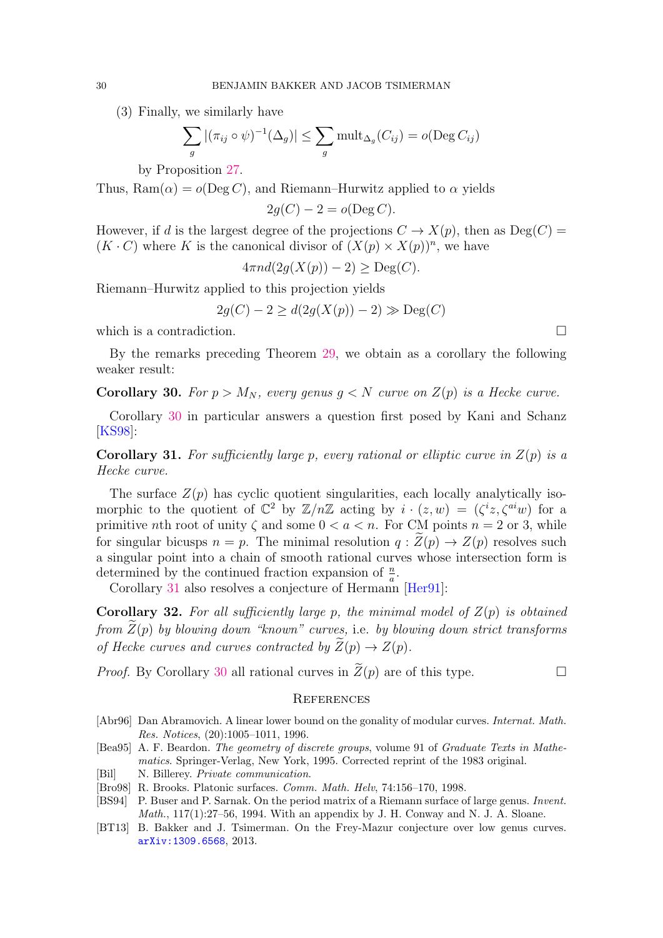(3) Finally, we similarly have

$$
\sum_{g} |(\pi_{ij} \circ \psi)^{-1}(\Delta_g)| \leq \sum_{g} \text{mult}_{\Delta_g}(C_{ij}) = o(\text{Deg } C_{ij})
$$

by Proposition [27.](#page-25-0)

Thus,  $\text{Ram}(\alpha) = o(\text{Deg } C)$ , and Riemann–Hurwitz applied to  $\alpha$  yields

$$
2g(C) - 2 = o(\text{Deg } C).
$$

However, if d is the largest degree of the projections  $C \to X(p)$ , then as  $Deg(C)$  $(K \cdot C)$  where K is the canonical divisor of  $(X(p) \times X(p))^n$ , we have

$$
4\pi nd(2g(X(p)) - 2) \ge \text{Deg}(C).
$$

Riemann–Hurwitz applied to this projection yields

$$
2g(C) - 2 \ge d(2g(X(p)) - 2) \gg \text{Deg}(C)
$$

which is a contradiction.

By the remarks preceding Theorem [29,](#page-28-0) we obtain as a corollary the following weaker result:

<span id="page-29-8"></span>Corollary 30. For  $p > M_N$ , every genus  $q < N$  curve on  $Z(p)$  is a Hecke curve.

Corollary [30](#page-29-8) in particular answers a question first posed by Kani and Schanz [\[KS98\]](#page-30-5):

<span id="page-29-2"></span>**Corollary 31.** For sufficiently large p, every rational or elliptic curve in  $Z(p)$  is a Hecke curve.

The surface  $Z(p)$  has cyclic quotient singularities, each locally analytically isomorphic to the quotient of  $\mathbb{C}^2$  by  $\mathbb{Z}/n\mathbb{Z}$  acting by  $i \cdot (z,w) = (\zeta^i z, \zeta^{ai} w)$  for a primitive nth root of unity  $\zeta$  and some  $0 < a < n$ . For CM points  $n = 2$  or 3, while for singular bicusps  $n = p$ . The minimal resolution  $q : Z(p) \to Z(p)$  resolves such a singular point into a chain of smooth rational curves whose intersection form is determined by the continued fraction expansion of  $\frac{n}{a}$ .

Corollary [31](#page-29-2) also resolves a conjecture of Hermann [\[Her91\]](#page-30-2):

<span id="page-29-3"></span>**Corollary 32.** For all sufficiently large p, the minimal model of  $Z(p)$  is obtained from  $Z(p)$  by blowing down "known" curves, i.e. by blowing down strict transforms of Hecke curves and curves contracted by  $\overline{Z}(p) \to Z(p)$ .

*Proof.* By Corollary [30](#page-29-8) all rational curves in  $\widetilde{Z}(p)$  are of this type.

#### **REFERENCES**

- <span id="page-29-1"></span>[Abr96] Dan Abramovich. A linear lower bound on the gonality of modular curves. Internat. Math. Res. Notices, (20):1005–1011, 1996.
- <span id="page-29-5"></span>[Bea95] A. F. Beardon. The geometry of discrete groups, volume 91 of Graduate Texts in Mathematics. Springer-Verlag, New York, 1995. Corrected reprint of the 1983 original.
- <span id="page-29-0"></span>[Bil] N. Billerey. *Private communication*.
- <span id="page-29-7"></span>[Bro98] R. Brooks. Platonic surfaces. Comm. Math. Helv, 74:156–170, 1998.
- <span id="page-29-6"></span>[BS94] P. Buser and P. Sarnak. On the period matrix of a Riemann surface of large genus. *Invent.*  $Math., 117(1):27–56, 1994. With an appendix by J. H. Conway and N. J. A. Sloane.$
- <span id="page-29-4"></span>[BT13] B. Bakker and J. Tsimerman. On the Frey-Mazur conjecture over low genus curves. [arXiv:1309.6568](http://arxiv.org/abs/1309.6568), 2013.